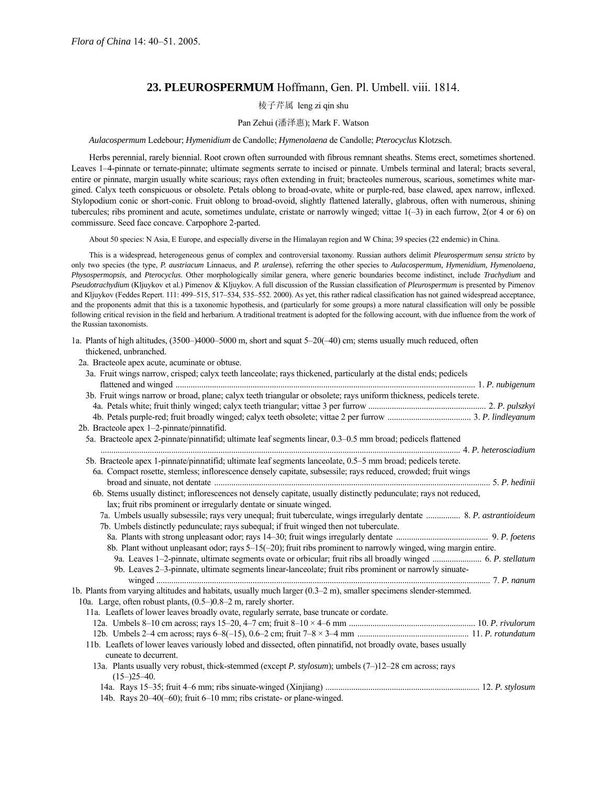# **23. PLEUROSPERMUM** Hoffmann, Gen. Pl. Umbell. viii. 1814.

## 棱子芹属 leng zi qin shu

### Pan Zehui (潘泽惠); Mark F. Watson

#### *Aulacospermum* Ledebour; *Hymenidium* de Candolle; *Hymenolaena* de Candolle; *Pterocyclus* Klotzsch.

Herbs perennial, rarely biennial. Root crown often surrounded with fibrous remnant sheaths. Stems erect, sometimes shortened. Leaves 1–4-pinnate or ternate-pinnate; ultimate segments serrate to incised or pinnate. Umbels terminal and lateral; bracts several, entire or pinnate, margin usually white scarious; rays often extending in fruit; bracteoles numerous, scarious, sometimes white margined. Calyx teeth conspicuous or obsolete. Petals oblong to broad-ovate, white or purple-red, base clawed, apex narrow, inflexed. Stylopodium conic or short-conic. Fruit oblong to broad-ovoid, slightly flattened laterally, glabrous, often with numerous, shining tubercules; ribs prominent and acute, sometimes undulate, cristate or narrowly winged; vittae  $1(-3)$  in each furrow,  $2(\text{or } 4 \text{ or } 6)$  on commissure. Seed face concave. Carpophore 2-parted.

About 50 species: N Asia, E Europe, and especially diverse in the Himalayan region and W China; 39 species (22 endemic) in China.

This is a widespread, heterogeneous genus of complex and controversial taxonomy. Russian authors delimit *Pleurospermum sensu stricto* by only two species (the type, *P. austriacum* Linnaeus, and *P. uralense*), referring the other species to *Aulacospermum, Hymenidium, Hymenolaena, Physospermopsis,* and *Pterocyclus*. Other morphologically similar genera, where generic boundaries become indistinct, include *Trachydium* and *Pseudotrachydium* (Kljuykov et al.) Pimenov & Kljuykov. A full discussion of the Russian classification of *Pleurospermum* is presented by Pimenov and Kljuykov (Feddes Repert. 111: 499-515, 517-534, 535-552. 2000). As yet, this rather radical classification has not gained widespread acceptance, and the proponents admit that this is a taxonomic hypothesis, and (particularly for some groups) a more natural classification will only be possible following critical revision in the field and herbarium. A traditional treatment is adopted for the following account, with due influence from the work of the Russian taxonomists.

1a. Plants of high altitudes,  $(3500-14000-5000 \text{ m})$ , short and squat  $5-20(-40)$  cm; stems usually much reduced, often thickened, unbranched.

2a. Bracteole apex acute, acuminate or obtuse.

| 3b. Fruit wings narrow or broad, plane; calyx teeth triangular or obsolete; rays uniform thickness, pedicels terete.<br>2b. Bracteole apex 1-2-pinnate/pinnatifid.<br>5a. Bracteole apex 2-pinnate/pinnatifid; ultimate leaf segments linear, 0.3–0.5 mm broad; pedicels flattened<br>5b. Bracteole apex 1-pinnate/pinnatifid; ultimate leaf segments lanceolate, 0.5–5 mm broad; pedicels terete.<br>6a. Compact rosette, stemless; inflorescence densely capitate, subsessile; rays reduced, crowded; fruit wings<br>6b. Stems usually distinct; inflorescences not densely capitate, usually distinctly pedunculate; rays not reduced,<br>lax; fruit ribs prominent or irregularly dentate or sinuate winged.<br>7a. Umbels usually subsessile; rays very unequal; fruit tuberculate, wings irregularly dentate  8. P. astrantioideum<br>7b. Umbels distinctly pedunculate; rays subequal; if fruit winged then not tuberculate.<br>8b. Plant without unpleasant odor; rays $5-15(-20)$ ; fruit ribs prominent to narrowly winged, wing margin entire.<br>9a. Leaves 1-2-pinnate, ultimate segments ovate or orbicular; fruit ribs all broadly winged  6. P. stellatum<br>9b. Leaves 2-3-pinnate, ultimate segments linear-lanceolate; fruit ribs prominent or narrowly sinuate-<br>1b. Plants from varying altitudes and habitats, usually much larger $(0.3-2 \text{ m})$ , smaller specimens slender-stemmed.<br>10a. Large, often robust plants, $(0.5-)0.8-2$ m, rarely shorter.<br>11a. Leaflets of lower leaves broadly ovate, regularly serrate, base truncate or cordate. |
|---------------------------------------------------------------------------------------------------------------------------------------------------------------------------------------------------------------------------------------------------------------------------------------------------------------------------------------------------------------------------------------------------------------------------------------------------------------------------------------------------------------------------------------------------------------------------------------------------------------------------------------------------------------------------------------------------------------------------------------------------------------------------------------------------------------------------------------------------------------------------------------------------------------------------------------------------------------------------------------------------------------------------------------------------------------------------------------------------------------------------------------------------------------------------------------------------------------------------------------------------------------------------------------------------------------------------------------------------------------------------------------------------------------------------------------------------------------------------------------------------------------------------------------------------------------------------------------|
|                                                                                                                                                                                                                                                                                                                                                                                                                                                                                                                                                                                                                                                                                                                                                                                                                                                                                                                                                                                                                                                                                                                                                                                                                                                                                                                                                                                                                                                                                                                                                                                       |
|                                                                                                                                                                                                                                                                                                                                                                                                                                                                                                                                                                                                                                                                                                                                                                                                                                                                                                                                                                                                                                                                                                                                                                                                                                                                                                                                                                                                                                                                                                                                                                                       |
|                                                                                                                                                                                                                                                                                                                                                                                                                                                                                                                                                                                                                                                                                                                                                                                                                                                                                                                                                                                                                                                                                                                                                                                                                                                                                                                                                                                                                                                                                                                                                                                       |
|                                                                                                                                                                                                                                                                                                                                                                                                                                                                                                                                                                                                                                                                                                                                                                                                                                                                                                                                                                                                                                                                                                                                                                                                                                                                                                                                                                                                                                                                                                                                                                                       |
|                                                                                                                                                                                                                                                                                                                                                                                                                                                                                                                                                                                                                                                                                                                                                                                                                                                                                                                                                                                                                                                                                                                                                                                                                                                                                                                                                                                                                                                                                                                                                                                       |
|                                                                                                                                                                                                                                                                                                                                                                                                                                                                                                                                                                                                                                                                                                                                                                                                                                                                                                                                                                                                                                                                                                                                                                                                                                                                                                                                                                                                                                                                                                                                                                                       |
|                                                                                                                                                                                                                                                                                                                                                                                                                                                                                                                                                                                                                                                                                                                                                                                                                                                                                                                                                                                                                                                                                                                                                                                                                                                                                                                                                                                                                                                                                                                                                                                       |
|                                                                                                                                                                                                                                                                                                                                                                                                                                                                                                                                                                                                                                                                                                                                                                                                                                                                                                                                                                                                                                                                                                                                                                                                                                                                                                                                                                                                                                                                                                                                                                                       |
|                                                                                                                                                                                                                                                                                                                                                                                                                                                                                                                                                                                                                                                                                                                                                                                                                                                                                                                                                                                                                                                                                                                                                                                                                                                                                                                                                                                                                                                                                                                                                                                       |
|                                                                                                                                                                                                                                                                                                                                                                                                                                                                                                                                                                                                                                                                                                                                                                                                                                                                                                                                                                                                                                                                                                                                                                                                                                                                                                                                                                                                                                                                                                                                                                                       |
|                                                                                                                                                                                                                                                                                                                                                                                                                                                                                                                                                                                                                                                                                                                                                                                                                                                                                                                                                                                                                                                                                                                                                                                                                                                                                                                                                                                                                                                                                                                                                                                       |
|                                                                                                                                                                                                                                                                                                                                                                                                                                                                                                                                                                                                                                                                                                                                                                                                                                                                                                                                                                                                                                                                                                                                                                                                                                                                                                                                                                                                                                                                                                                                                                                       |
|                                                                                                                                                                                                                                                                                                                                                                                                                                                                                                                                                                                                                                                                                                                                                                                                                                                                                                                                                                                                                                                                                                                                                                                                                                                                                                                                                                                                                                                                                                                                                                                       |
|                                                                                                                                                                                                                                                                                                                                                                                                                                                                                                                                                                                                                                                                                                                                                                                                                                                                                                                                                                                                                                                                                                                                                                                                                                                                                                                                                                                                                                                                                                                                                                                       |
|                                                                                                                                                                                                                                                                                                                                                                                                                                                                                                                                                                                                                                                                                                                                                                                                                                                                                                                                                                                                                                                                                                                                                                                                                                                                                                                                                                                                                                                                                                                                                                                       |
|                                                                                                                                                                                                                                                                                                                                                                                                                                                                                                                                                                                                                                                                                                                                                                                                                                                                                                                                                                                                                                                                                                                                                                                                                                                                                                                                                                                                                                                                                                                                                                                       |
|                                                                                                                                                                                                                                                                                                                                                                                                                                                                                                                                                                                                                                                                                                                                                                                                                                                                                                                                                                                                                                                                                                                                                                                                                                                                                                                                                                                                                                                                                                                                                                                       |
|                                                                                                                                                                                                                                                                                                                                                                                                                                                                                                                                                                                                                                                                                                                                                                                                                                                                                                                                                                                                                                                                                                                                                                                                                                                                                                                                                                                                                                                                                                                                                                                       |
|                                                                                                                                                                                                                                                                                                                                                                                                                                                                                                                                                                                                                                                                                                                                                                                                                                                                                                                                                                                                                                                                                                                                                                                                                                                                                                                                                                                                                                                                                                                                                                                       |
|                                                                                                                                                                                                                                                                                                                                                                                                                                                                                                                                                                                                                                                                                                                                                                                                                                                                                                                                                                                                                                                                                                                                                                                                                                                                                                                                                                                                                                                                                                                                                                                       |
|                                                                                                                                                                                                                                                                                                                                                                                                                                                                                                                                                                                                                                                                                                                                                                                                                                                                                                                                                                                                                                                                                                                                                                                                                                                                                                                                                                                                                                                                                                                                                                                       |
|                                                                                                                                                                                                                                                                                                                                                                                                                                                                                                                                                                                                                                                                                                                                                                                                                                                                                                                                                                                                                                                                                                                                                                                                                                                                                                                                                                                                                                                                                                                                                                                       |
|                                                                                                                                                                                                                                                                                                                                                                                                                                                                                                                                                                                                                                                                                                                                                                                                                                                                                                                                                                                                                                                                                                                                                                                                                                                                                                                                                                                                                                                                                                                                                                                       |
|                                                                                                                                                                                                                                                                                                                                                                                                                                                                                                                                                                                                                                                                                                                                                                                                                                                                                                                                                                                                                                                                                                                                                                                                                                                                                                                                                                                                                                                                                                                                                                                       |
| 11b. Leaflets of lower leaves variously lobed and dissected, often pinnatifid, not broadly ovate, bases usually                                                                                                                                                                                                                                                                                                                                                                                                                                                                                                                                                                                                                                                                                                                                                                                                                                                                                                                                                                                                                                                                                                                                                                                                                                                                                                                                                                                                                                                                       |
| cuneate to decurrent.                                                                                                                                                                                                                                                                                                                                                                                                                                                                                                                                                                                                                                                                                                                                                                                                                                                                                                                                                                                                                                                                                                                                                                                                                                                                                                                                                                                                                                                                                                                                                                 |
| 13a. Plants usually very robust, thick-stemmed (except P. stylosum); umbels (7–)12–28 cm across; rays                                                                                                                                                                                                                                                                                                                                                                                                                                                                                                                                                                                                                                                                                                                                                                                                                                                                                                                                                                                                                                                                                                                                                                                                                                                                                                                                                                                                                                                                                 |
| $(15-25-40)$ .                                                                                                                                                                                                                                                                                                                                                                                                                                                                                                                                                                                                                                                                                                                                                                                                                                                                                                                                                                                                                                                                                                                                                                                                                                                                                                                                                                                                                                                                                                                                                                        |
|                                                                                                                                                                                                                                                                                                                                                                                                                                                                                                                                                                                                                                                                                                                                                                                                                                                                                                                                                                                                                                                                                                                                                                                                                                                                                                                                                                                                                                                                                                                                                                                       |
| 14b. Rays 20–40(–60); fruit 6–10 mm; ribs cristate- or plane-winged.                                                                                                                                                                                                                                                                                                                                                                                                                                                                                                                                                                                                                                                                                                                                                                                                                                                                                                                                                                                                                                                                                                                                                                                                                                                                                                                                                                                                                                                                                                                  |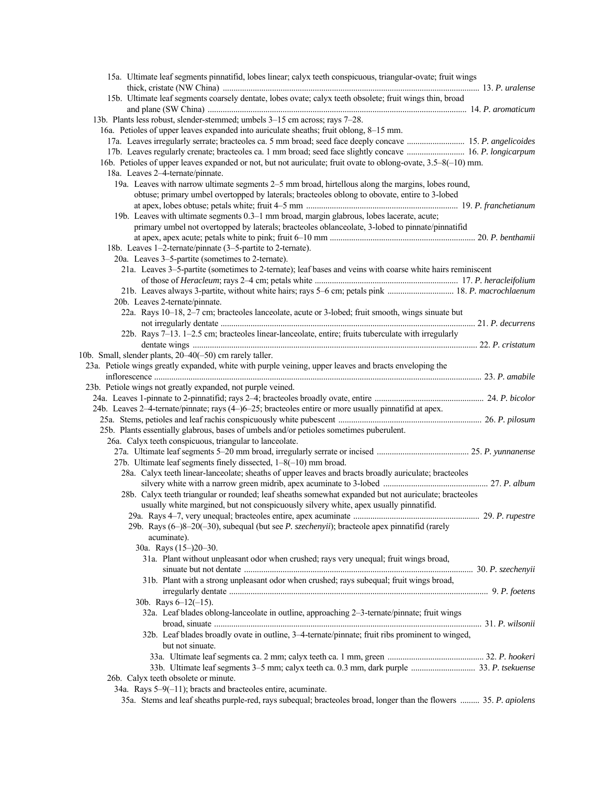| 15a. Ultimate leaf segments pinnatifid, lobes linear; calyx teeth conspicuous, triangular-ovate; fruit wings                                                                                        |                 |
|-----------------------------------------------------------------------------------------------------------------------------------------------------------------------------------------------------|-----------------|
|                                                                                                                                                                                                     |                 |
| 15b. Ultimate leaf segments coarsely dentate, lobes ovate; calyx teeth obsolete; fruit wings thin, broad                                                                                            |                 |
| 13b. Plants less robust, slender-stemmed; umbels 3-15 cm across; rays 7-28.                                                                                                                         |                 |
| 16a. Petioles of upper leaves expanded into auriculate sheaths; fruit oblong, 8-15 mm.                                                                                                              |                 |
| 17a. Leaves irregularly serrate; bracteoles ca. 5 mm broad; seed face deeply concave  15. P. angelicoides                                                                                           |                 |
| 17b. Leaves regularly crenate; bracteoles ca. 1 mm broad; seed face slightly concave  16. P. longicarpum                                                                                            |                 |
|                                                                                                                                                                                                     |                 |
| 16b. Petioles of upper leaves expanded or not, but not auriculate; fruit ovate to oblong-ovate, 3.5–8(-10) mm.                                                                                      |                 |
| 18a. Leaves 2-4-ternate/pinnate.                                                                                                                                                                    |                 |
| 19a. Leaves with narrow ultimate segments 2–5 mm broad, hirtellous along the margins, lobes round,<br>obtuse; primary umbel overtopped by laterals; bracteoles oblong to obovate, entire to 3-lobed |                 |
|                                                                                                                                                                                                     |                 |
| 19b. Leaves with ultimate segments 0.3-1 mm broad, margin glabrous, lobes lacerate, acute;                                                                                                          |                 |
| primary umbel not overtopped by laterals; bracteoles oblanceolate, 3-lobed to pinnate/pinnatifid                                                                                                    |                 |
|                                                                                                                                                                                                     |                 |
| 18b. Leaves 1-2-ternate/pinnate (3-5-partite to 2-ternate).                                                                                                                                         |                 |
| 20a. Leaves 3–5-partite (sometimes to 2-ternate).                                                                                                                                                   |                 |
| 21a. Leaves 3–5-partite (sometimes to 2-ternate); leaf bases and veins with coarse white hairs reminiscent                                                                                          |                 |
|                                                                                                                                                                                                     |                 |
|                                                                                                                                                                                                     |                 |
| 20b. Leaves 2-ternate/pinnate.                                                                                                                                                                      |                 |
| 22a. Rays 10–18, 2–7 cm; bracteoles lanceolate, acute or 3-lobed; fruit smooth, wings sinuate but                                                                                                   |                 |
|                                                                                                                                                                                                     |                 |
| 22b. Rays 7-13. 1-2.5 cm; bracteoles linear-lanceolate, entire; fruits tuberculate with irregularly                                                                                                 |                 |
|                                                                                                                                                                                                     |                 |
|                                                                                                                                                                                                     |                 |
| 10b. Small, slender plants, 20–40(–50) cm rarely taller.                                                                                                                                            |                 |
| 23a. Petiole wings greatly expanded, white with purple veining, upper leaves and bracts enveloping the                                                                                              |                 |
|                                                                                                                                                                                                     |                 |
| 23b. Petiole wings not greatly expanded, not purple veined.                                                                                                                                         |                 |
|                                                                                                                                                                                                     |                 |
| 24b. Leaves 2-4-ternate/pinnate; rays (4-)6-25; bracteoles entire or more usually pinnatifid at apex.                                                                                               |                 |
|                                                                                                                                                                                                     |                 |
| 25b. Plants essentially glabrous, bases of umbels and/or petioles sometimes puberulent.                                                                                                             |                 |
| 26a. Calyx teeth conspicuous, triangular to lanceolate.                                                                                                                                             |                 |
|                                                                                                                                                                                                     |                 |
| 27b. Ultimate leaf segments finely dissected, 1-8(-10) mm broad.                                                                                                                                    |                 |
| 28a. Calyx teeth linear-lanceolate; sheaths of upper leaves and bracts broadly auriculate; bracteoles                                                                                               |                 |
|                                                                                                                                                                                                     |                 |
| 28b. Calyx teeth triangular or rounded; leaf sheaths somewhat expanded but not auriculate; bracteoles                                                                                               |                 |
| usually white margined, but not conspicuously silvery white, apex usually pinnatifid.                                                                                                               |                 |
|                                                                                                                                                                                                     | 29. P. rupestre |
| 29b. Rays (6–)8–20(–30), subequal (but see P. szechenyii); bracteole apex pinnatifid (rarely                                                                                                        |                 |
| acuminate).                                                                                                                                                                                         |                 |
| 30a. Rays (15-)20-30.                                                                                                                                                                               |                 |
| 31a. Plant without unpleasant odor when crushed; rays very unequal; fruit wings broad,                                                                                                              |                 |
|                                                                                                                                                                                                     |                 |
| 31b. Plant with a strong unpleasant odor when crushed; rays subequal; fruit wings broad,                                                                                                            |                 |
|                                                                                                                                                                                                     |                 |
|                                                                                                                                                                                                     |                 |
| 30b. Rays $6-12(-15)$ .                                                                                                                                                                             |                 |
| 32a. Leaf blades oblong-lanceolate in outline, approaching 2-3-ternate/pinnate; fruit wings                                                                                                         |                 |
|                                                                                                                                                                                                     |                 |
| 32b. Leaf blades broadly ovate in outline, 3-4-ternate/pinnate; fruit ribs prominent to winged,                                                                                                     |                 |
| but not sinuate.                                                                                                                                                                                    |                 |
|                                                                                                                                                                                                     |                 |
|                                                                                                                                                                                                     |                 |
| 26b. Calyx teeth obsolete or minute.                                                                                                                                                                |                 |
| 34a. Rays $5-9(-11)$ ; bracts and bracteoles entire, acuminate.                                                                                                                                     |                 |
| 35a. Stems and leaf sheaths purple-red, rays subequal; bracteoles broad, longer than the flowers  35. P. apiolens                                                                                   |                 |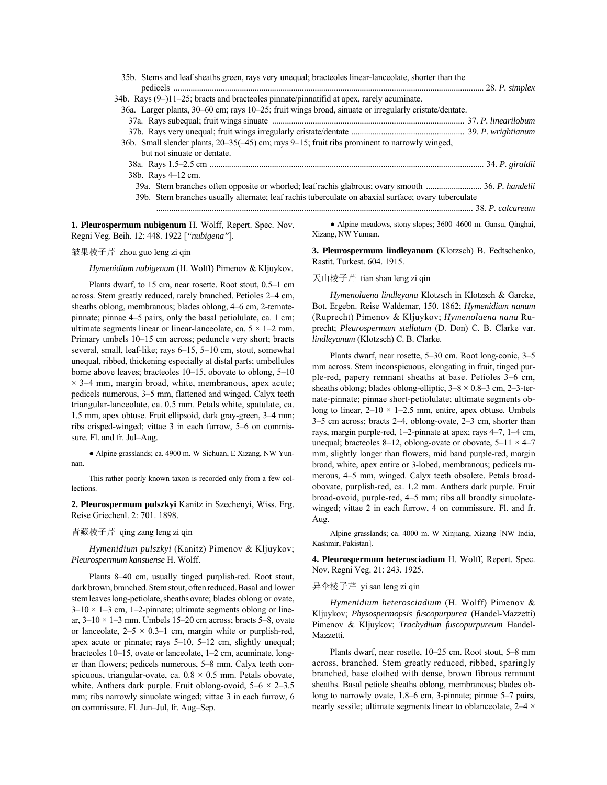| 35b. Stems and leaf sheaths green, rays very unequal; bracteoles linear-lanceolate, shorter than the  | $.28.$ P. simplex |
|-------------------------------------------------------------------------------------------------------|-------------------|
| 34b. Rays (9-)11-25; bracts and bracteoles pinnate/pinnatifid at apex, rarely acuminate.              |                   |
| 36a. Larger plants, 30–60 cm; rays 10–25; fruit wings broad, sinuate or irregularly cristate/dentate. |                   |
|                                                                                                       |                   |
|                                                                                                       |                   |
| 36b. Small slender plants, 20–35(-45) cm; rays 9–15; fruit ribs prominent to narrowly winged,         |                   |
| but not sinuate or dentate.                                                                           |                   |
|                                                                                                       |                   |
| 38b. Rays 4-12 cm.                                                                                    |                   |
|                                                                                                       |                   |
| 39b. Stem branches usually alternate; leaf rachis tuberculate on abaxial surface; ovary tuberculate   |                   |
|                                                                                                       |                   |
|                                                                                                       |                   |

**1. Pleurospermum nubigenum** H. Wolff, Repert. Spec. Nov. Regni Veg. Beih. 12: 448. 1922 [*"nubigena"*].

Xizang, NW Yunnan.

• Alpine meadows, stony slopes; 3600-4600 m. Gansu, Qinghai,

皱果棱子芹 zhou guo leng zi qin

*Hymenidium nubigenum* (H. Wolff) Pimenov & Kljuykov.

Plants dwarf, to  $15$  cm, near rosette. Root stout,  $0.5-1$  cm across. Stem greatly reduced, rarely branched. Petioles 2–4 cm, sheaths oblong, membranous; blades oblong, 4–6 cm, 2-ternatepinnate; pinnae  $4-5$  pairs, only the basal petiolulate, ca. 1 cm; ultimate segments linear or linear-lanceolate, ca.  $5 \times 1 - 2$  mm. Primary umbels 10–15 cm across; peduncle very short; bracts several, small, leaf-like; rays 6-15, 5-10 cm, stout, somewhat unequal, ribbed, thickening especially at distal parts; umbellules borne above leaves; bracteoles  $10-15$ , obovate to oblong,  $5-10$  $\times$  3–4 mm, margin broad, white, membranous, apex acute; pedicels numerous, 3–5 mm, flattened and winged. Calyx teeth triangular-lanceolate, ca. 0.5 mm. Petals white, spatulate, ca. 1.5 mm, apex obtuse. Fruit ellipsoid, dark gray-green, 3–4 mm; ribs crisped-winged; vittae  $3$  in each furrow,  $5-6$  on commissure. Fl. and fr. Jul-Aug.

● Alpine grasslands; ca. 4900 m. W Sichuan, E Xizang, NW Yunnan.

This rather poorly known taxon is recorded only from a few collections.

**2. Pleurospermum pulszkyi** Kanitz in Szechenyi, Wiss. Erg. Reise Griechenl. 2: 701. 1898.

青藏棱子芹 qing zang leng zi qin

*Hymenidium pulszkyi* (Kanitz) Pimenov & Kljuykov; *Pleurospermum kansuense* H. Wolff.

Plants 8-40 cm, usually tinged purplish-red. Root stout, dark brown, branched. Stem stout, often reduced. Basal and lower stem leaves long-petiolate, sheaths ovate; blades oblong or ovate,  $3-10 \times 1-3$  cm, 1-2-pinnate; ultimate segments oblong or linear,  $3-10 \times 1-3$  mm. Umbels 15–20 cm across; bracts 5–8, ovate or lanceolate,  $2-5 \times 0.3-1$  cm, margin white or purplish-red, apex acute or pinnate; rays  $5-10$ ,  $5-12$  cm, slightly unequal; bracteoles 10–15, ovate or lanceolate, 1–2 cm, acuminate, longer than flowers; pedicels numerous, 5-8 mm. Calyx teeth conspicuous, triangular-ovate, ca.  $0.8 \times 0.5$  mm. Petals obovate, white. Anthers dark purple. Fruit oblong-ovoid,  $5-6 \times 2-3.5$ mm; ribs narrowly sinuolate winged; vittae 3 in each furrow, 6 on commissure. Fl. Jun-Jul, fr. Aug-Sep.

**3. Pleurospermum lindleyanum** (Klotzsch) B. Fedtschenko, Rastit. Turkest. 604. 1915.

## 天山棱子芹 tian shan leng zi qin

*Hymenolaena lindleyana* Klotzsch in Klotzsch & Garcke, Bot. Ergebn. Reise Waldemar, 150. 1862; *Hymenidium nanum* (Ruprecht) Pimenov & Kljuykov; *Hymenolaena nana* Ruprecht; *Pleurospermum stellatum* (D. Don) C. B. Clarke var. *lindleyanum* (Klotzsch) C. B. Clarke.

Plants dwarf, near rosette, 5–30 cm. Root long-conic, 3–5 mm across. Stem inconspicuous, elongating in fruit, tinged purple-red, papery remnant sheaths at base. Petioles 3–6 cm, sheaths oblong; blades oblong-elliptic,  $3-8 \times 0.8-3$  cm, 2-3-ternate-pinnate; pinnae short-petiolulate; ultimate segments oblong to linear,  $2-10 \times 1-2.5$  mm, entire, apex obtuse. Umbels  $3-5$  cm across; bracts  $2-4$ , oblong-ovate,  $2-3$  cm, shorter than rays, margin purple-red, 1–2-pinnate at apex; rays  $4-7$ ,  $1-4$  cm, unequal; bracteoles 8–12, oblong-ovate or obovate,  $5-11 \times 4-7$ mm, slightly longer than flowers, mid band purple-red, margin broad, white, apex entire or 3-lobed, membranous; pedicels numerous, 4–5 mm, winged. Calyx teeth obsolete. Petals broadobovate, purplish-red, ca. 1.2 mm. Anthers dark purple. Fruit broad-ovoid, purple-red, 4–5 mm; ribs all broadly sinuolatewinged; vittae 2 in each furrow, 4 on commissure. Fl. and fr. Aug.

Alpine grasslands; ca. 4000 m. W Xinjiang, Xizang [NW India, Kashmir, Pakistan].

**4. Pleurospermum heterosciadium** H. Wolff, Repert. Spec. Nov. Regni Veg. 21: 243. 1925.

### 异伞棱子芹 yi san leng zi qin

*Hymenidium heterosciadium* (H. Wolff) Pimenov & Kljuykov; *Physospermopsis fuscopurpurea* (Handel-Mazzetti) Pimenov & Kljuykov; *Trachydium fuscopurpureum* Handel-Mazzetti.

Plants dwarf, near rosette, 10–25 cm. Root stout, 5–8 mm across, branched. Stem greatly reduced, ribbed, sparingly branched, base clothed with dense, brown fibrous remnant sheaths. Basal petiole sheaths oblong, membranous; blades oblong to narrowly ovate,  $1.8-6$  cm, 3-pinnate; pinnae 5–7 pairs, nearly sessile; ultimate segments linear to oblance olate,  $2-4 \times$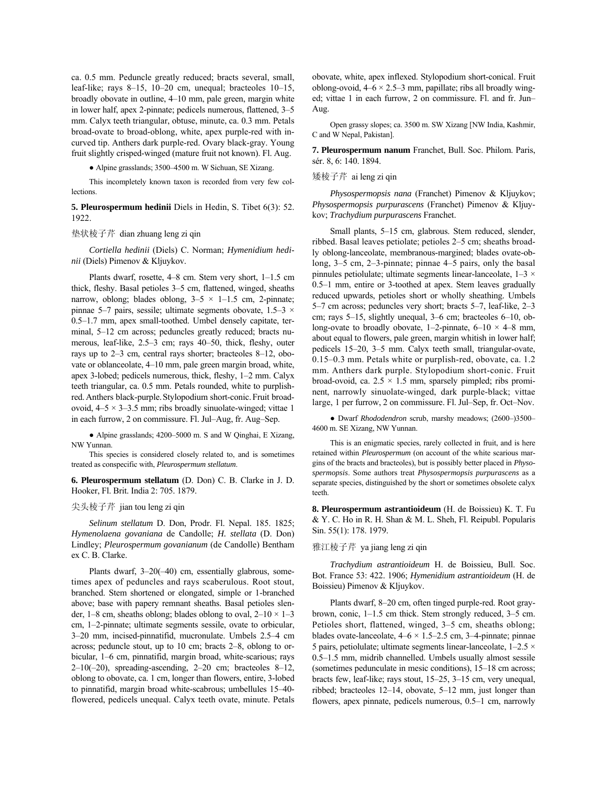ca. 0.5 mm. Peduncle greatly reduced; bracts several, small, leaf-like; rays 8-15, 10-20 cm, unequal; bracteoles  $10-15$ , broadly obovate in outline, 4–10 mm, pale green, margin white in lower half, apex 2-pinnate; pedicels numerous, flattened, 3–5 mm. Calyx teeth triangular, obtuse, minute, ca. 0.3 mm. Petals broad-ovate to broad-oblong, white, apex purple-red with incurved tip. Anthers dark purple-red. Ovary black-gray. Young fruit slightly crisped-winged (mature fruit not known). Fl. Aug.

 $\bullet$  Alpine grasslands; 3500–4500 m. W Sichuan, SE Xizang.

This incompletely known taxon is recorded from very few collections.

**5. Pleurospermum hedinii** Diels in Hedin, S. Tibet 6(3): 52. 1922.

## 垫状棱子芹 dian zhuang leng zi qin

*Cortiella hedinii* (Diels) C. Norman; *Hymenidium hedinii* (Diels) Pimenov & Kljuykov.

Plants dwarf, rosette,  $4-8$  cm. Stem very short,  $1-1.5$  cm thick, fleshy. Basal petioles 3–5 cm, flattened, winged, sheaths narrow, oblong; blades oblong,  $3-5 \times 1-1.5$  cm, 2-pinnate; pinnae 5–7 pairs, sessile; ultimate segments obovate,  $1.5-3 \times$  $0.5-1.7$  mm, apex small-toothed. Umbel densely capitate, terminal, 5-12 cm across; peduncles greatly reduced; bracts numerous, leaf-like,  $2.5-3$  cm; rays  $40-50$ , thick, fleshy, outer rays up to  $2-3$  cm, central rays shorter; bracteoles  $8-12$ , obovate or oblanceolate, 4-10 mm, pale green margin broad, white, apex 3-lobed; pedicels numerous, thick, fleshy, 1-2 mm. Calyx teeth triangular, ca. 0.5 mm. Petals rounded, white to purplishred.Anthers black-purple.Stylopodium short-conic.Fruit broadovoid,  $4-5 \times 3-3.5$  mm; ribs broadly sinuolate-winged; vittae 1 in each furrow, 2 on commissure. Fl. Jul–Aug, fr. Aug–Sep.

 $\bullet$  Alpine grasslands; 4200–5000 m. S and W Qinghai, E Xizang, NW Yunnan.

This species is considered closely related to, and is sometimes treated as conspecific with, *Pleurospermum stellatum*.

**6. Pleurospermum stellatum** (D. Don) C. B. Clarke in J. D. Hooker, Fl. Brit. India 2: 705. 1879.

## 尖头棱子芹 jian tou leng zi qin

*Selinum stellatum* D. Don, Prodr. Fl. Nepal. 185. 1825; *Hymenolaena govaniana* de Candolle; *H. stellata* (D. Don) Lindley; *Pleurospermum govanianum* (de Candolle) Bentham ex C. B. Clarke.

Plants dwarf,  $3-20(-40)$  cm, essentially glabrous, sometimes apex of peduncles and rays scaberulous. Root stout, branched. Stem shortened or elongated, simple or 1-branched above; base with papery remnant sheaths. Basal petioles slender, 1–8 cm, sheaths oblong; blades oblong to oval,  $2-10 \times 1-3$ cm, 1–2-pinnate; ultimate segments sessile, ovate to orbicular, 3–20 mm, incised-pinnatifid, mucronulate. Umbels 2.5–4 cm across; peduncle stout, up to 10 cm; bracts  $2-8$ , oblong to orbicular, 1–6 cm, pinnatifid, margin broad, white-scarious; rays  $2-10(-20)$ , spreading-ascending,  $2-20$  cm; bracteoles 8-12, oblong to obovate, ca. 1 cm, longer than flowers, entire, 3-lobed to pinnatifid, margin broad white-scabrous; umbellules 15-40flowered, pedicels unequal. Calyx teeth ovate, minute. Petals obovate, white, apex inflexed. Stylopodium short-conical. Fruit oblong-ovoid,  $4-6 \times 2.5-3$  mm, papillate; ribs all broadly winged; vittae 1 in each furrow, 2 on commissure. Fl. and fr. Jun-Aug.

Open grassy slopes; ca. 3500 m. SW Xizang [NW India, Kashmir, C and W Nepal, Pakistan].

**7. Pleurospermum nanum** Franchet, Bull. Soc. Philom. Paris, sér. 8, 6: 140. 1894.

矮棱子芹 ai leng zi qin

*Physospermopsis nana* (Franchet) Pimenov & Kljuykov; *Physospermopsis purpurascens* (Franchet) Pimenov & Kljuykov; *Trachydium purpurascens* Franchet.

Small plants, 5–15 cm, glabrous. Stem reduced, slender, ribbed. Basal leaves petiolate; petioles 2–5 cm; sheaths broadly oblong-lanceolate, membranous-margined; blades ovate-oblong,  $3-5$  cm,  $2-3$ -pinnate; pinnae  $4-5$  pairs, only the basal pinnules petiolulate; ultimate segments linear-lanceolate,  $1-3 \times$  $0.5-1$  mm, entire or 3-toothed at apex. Stem leaves gradually reduced upwards, petioles short or wholly sheathing. Umbels 5 $-7$  cm across; peduncles very short; bracts 5 $-7$ , leaf-like, 2 $-3$ cm; rays  $5-15$ , slightly unequal,  $3-6$  cm; bracteoles  $6-10$ , oblong-ovate to broadly obovate, 1-2-pinnate, 6-10  $\times$  4-8 mm, about equal to flowers, pale green, margin whitish in lower half; pedicels 15-20, 3-5 mm. Calyx teeth small, triangular-ovate, 0.15-0.3 mm. Petals white or purplish-red, obovate, ca. 1.2 mm. Anthers dark purple. Stylopodium short-conic. Fruit broad-ovoid, ca.  $2.5 \times 1.5$  mm, sparsely pimpled; ribs prominent, narrowly sinuolate-winged, dark purple-black; vittae large, 1 per furrow, 2 on commissure. Fl. Jul–Sep, fr. Oct–Nov.

· Dwarf *Rhododendron* scrub, marshy meadows; (2600-)3500-4600 m. SE Xizang, NW Yunnan.

This is an enigmatic species, rarely collected in fruit, and is here retained within *Pleurospermum* (on account of the white scarious margins of the bracts and bracteoles), but is possibly better placed in *Physospermopsis*. Some authors treat *Physospermopsis purpurascens* as a separate species, distinguished by the short or sometimes obsolete calyx teeth.

**8. Pleurospermum astrantioideum** (H. de Boissieu) K. T. Fu & Y. C. Ho in R. H. Shan & M. L. Sheh, Fl. Reipubl. Popularis Sin. 55(1): 178. 1979.

#### 雅江棱子芹 ya jiang leng zi qin

*Trachydium astrantioideum* H. de Boissieu, Bull. Soc. Bot. France 53: 422. 1906; *Hymenidium astrantioideum* (H. de Boissieu) Pimenov & Kljuykov.

Plants dwarf, 8-20 cm, often tinged purple-red. Root graybrown, conic,  $1-1.5$  cm thick. Stem strongly reduced,  $3-5$  cm. Petioles short, flattened, winged, 3–5 cm, sheaths oblong; blades ovate-lanceolate,  $4-6 \times 1.5-2.5$  cm, 3-4-pinnate; pinnae 5 pairs, petiolulate; ultimate segments linear-lanceolate,  $1-2.5 \times$  $0.5-1.5$  mm, midrib channelled. Umbels usually almost sessile (sometimes pedunculate in mesic conditions),  $15-18$  cm across; bracts few, leaf-like; rays stout, 15–25, 3–15 cm, very unequal, ribbed; bracteoles  $12-14$ , obovate,  $5-12$  mm, just longer than flowers, apex pinnate, pedicels numerous,  $0.5-1$  cm, narrowly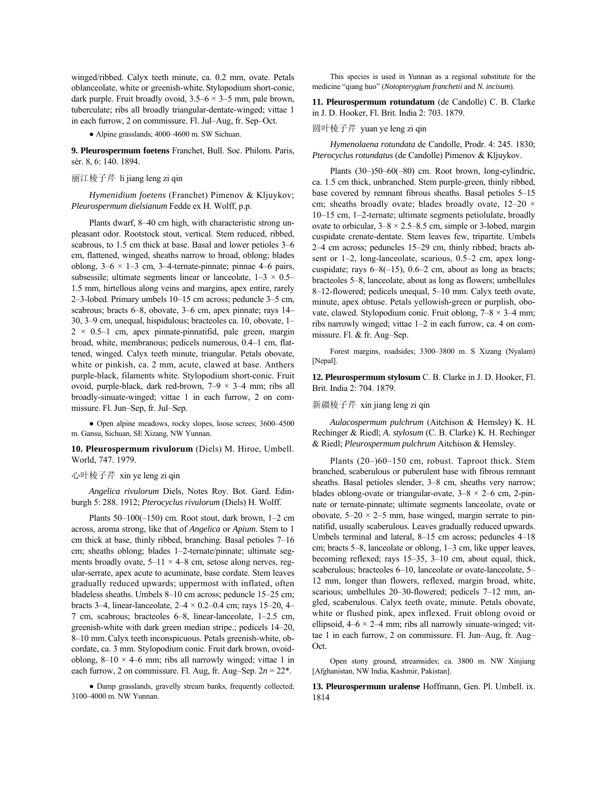winged/ribbed. Calyx teeth minute, ca. 0.2 mm, ovate. Petals oblanceolate, white or greenish-white.Stylopodium short-conic, dark purple. Fruit broadly ovoid,  $3.5-6 \times 3-5$  mm, pale brown, tuberculate; ribs all broadly triangular-dentate-winged; vittae 1 in each furrow, 2 on commissure. Fl. Jul–Aug, fr. Sep–Oct.

 $\bullet$  Alpine grasslands: 4000–4600 m. SW Sichuan.

**9. Pleurospermum foetens** Franchet, Bull. Soc. Philom. Paris, sér. 8, 6: 140. 1894.

## 丽江棱子芹 li jiang leng zi qin

*Hymenidium foetens* (Franchet) Pimenov & Kljuykov; *Pleurospermum dielsianum* Fedde ex H. Wolff, p.p.

Plants dwarf, 8-40 cm high, with characteristic strong unpleasant odor. Rootstock stout, vertical. Stem reduced, ribbed, scabrous, to 1.5 cm thick at base. Basal and lower petioles 3-6 cm, flattened, winged, sheaths narrow to broad, oblong; blades oblong,  $3-6 \times 1-3$  cm,  $3-4$ -ternate-pinnate; pinnae 4–6 pairs, subsessile; ultimate segments linear or lanceolate,  $1-3 \times 0.5$ 1.5 mm, hirtellous along veins and margins, apex entire, rarely 2-3-lobed. Primary umbels 10-15 cm across; peduncle 3-5 cm, scabrous; bracts 6-8, obovate, 3-6 cm, apex pinnate; rays 14-30, 3-9 cm, unequal, hispidulous; bracteoles ca. 10, obovate, 1- $2 \times 0.5 - 1$  cm, apex pinnate-pinnatifid, pale green, margin broad, white, membranous; pedicels numerous, 0.4-1 cm, flattened, winged. Calyx teeth minute, triangular. Petals obovate, white or pinkish, ca. 2 mm, acute, clawed at base. Anthers purple-black, filaments white. Stylopodium short-conic. Fruit ovoid, purple-black, dark red-brown,  $7-9 \times 3-4$  mm; ribs all broadly-sinuate-winged; vittae 1 in each furrow, 2 on commissure. Fl. Jun-Sep, fr. Jul-Sep.

• Open alpine meadows, rocky slopes, loose screes; 3600-4500 m. Gansu, Sichuan, SE Xizang, NW Yunnan.

## **10. Pleurospermum rivulorum** (Diels) M. Hiroe, Umbell. World, 747. 1979.

### 心叶棱子芹 xin ye leng zi qin

*Angelica rivulorum* Diels, Notes Roy. Bot. Gard. Edinburgh 5: 288. 1912; *Pterocyclus rivulorum* (Diels) H. Wolff.

Plants  $50-100(-150)$  cm. Root stout, dark brown,  $1-2$  cm across, aroma strong, like that of *Angelica* or *Apium*. Stem to 1 cm thick at base, thinly ribbed, branching. Basal petioles  $7-16$ cm; sheaths oblong; blades 1-2-ternate/pinnate; ultimate segments broadly ovate,  $5-11 \times 4-8$  cm, setose along nerves, regular-serrate, apex acute to acuminate, base cordate. Stem leaves gradually reduced upwards; uppermost with inflated, often bladeless sheaths. Umbels  $8-10$  cm across; peduncle  $15-25$  cm; bracts 3–4, linear-lanceolate,  $2-4 \times 0.2-0.4$  cm; rays 15–20, 4– 7 cm, scabrous; bracteoles  $6-8$ , linear-lanceolate,  $1-2.5$  cm, greenish-white with dark green median stripe.; pedicels 14-20, 8–10 mm. Calyx teeth inconspicuous. Petals greenish-white, obcordate, ca. 3 mm. Stylopodium conic. Fruit dark brown, ovoidoblong,  $8-10 \times 4-6$  mm; ribs all narrowly winged; vittae 1 in each furrow, 2 on commissure. Fl. Aug, fr. Aug–Sep.  $2n = 22^*$ .

● Damp grasslands, gravelly stream banks, frequently collected; 3100-4000 m. NW Yunnan.

This species is used in Yunnan as a regional substitute for the medicine "qiang huo" (*Notopterygium franchetii* and *N. incisum*).

**11. Pleurospermum rotundatum** (de Candolle) C. B. Clarke in J. D. Hooker, Fl. Brit. India 2: 703. 1879.

### 圆叶棱子芹 yuan ye leng zi qin

*Hymenolaena rotundata* de Candolle, Prodr. 4: 245. 1830; *Pterocyclus rotundatus* (de Candolle) Pimenov & Kljuykov.

Plants  $(30–)50–60(-80)$  cm. Root brown, long-cylindric, ca. 1.5 cm thick, unbranched. Stem purple-green, thinly ribbed, base covered by remnant fibrous sheaths. Basal petioles  $5-15$ cm; sheaths broadly ovate; blades broadly ovate,  $12-20 \times$  $10-15$  cm,  $1-2$ -ternate; ultimate segments petiolulate, broadly ovate to orbicular,  $3-8 \times 2.5-8.5$  cm, simple or 3-lobed, margin cuspidate crenate-dentate. Stem leaves few, tripartite. Umbels  $2-4$  cm across; peduncles  $15-29$  cm, thinly ribbed; bracts absent or  $1-2$ , long-lanceolate, scarious, 0.5 $-2$  cm, apex longcuspidate; rays  $6-8(-15)$ ,  $0.6-2$  cm, about as long as bracts; bracteoles 5–8, lanceolate, about as long as flowers; umbellules 8–12-flowered; pedicels unequal, 5–10 mm. Calyx teeth ovate, minute, apex obtuse. Petals yellowish-green or purplish, obovate, clawed. Stylopodium conic. Fruit oblong,  $7-8 \times 3-4$  mm; ribs narrowly winged; vittae  $1-2$  in each furrow, ca. 4 on commissure. Fl.  $&$  fr. Aug–Sep.

Forest margins, roadsides; 3300-3800 m. S Xizang (Nyalam) [Nepal].

**12. Pleurospermum stylosum** C. B. Clarke in J. D. Hooker, Fl. Brit. India 2: 704. 1879.

#### 新疆棱子芹 xin jiang leng zi qin

*Aulacospermum pulchrum* (Aitchison & Hemsley) K. H. Rechinger & Riedl; *A. stylosum* (C. B. Clarke) K. H. Rechinger & Riedl; *Pleurospermum pulchrum* Aitchison & Hemsley.

Plants  $(20-)60-150$  cm, robust. Taproot thick. Stem branched, scaberulous or puberulent base with fibrous remnant sheaths. Basal petioles slender, 3-8 cm, sheaths very narrow; blades oblong-ovate or triangular-ovate,  $3-8 \times 2-6$  cm, 2-pinnate or ternate-pinnate; ultimate segments lanceolate, ovate or obovate,  $5-20 \times 2-5$  mm, base winged, margin serrate to pinnatifid, usually scaberulous. Leaves gradually reduced upwards. Umbels terminal and lateral,  $8-15$  cm across; peduncles  $4-18$ cm; bracts 5–8, lanceolate or oblong, 1–3 cm, like upper leaves, becoming reflexed; rays  $15-35$ ,  $3-10$  cm, about equal, thick, scaberulous; bracteoles 6-10, lanceolate or ovate-lanceolate, 5-12 mm, longer than flowers, reflexed, margin broad, white, scarious; umbellules  $20-30$ -flowered; pedicels  $7-12$  mm, angled, scaberulous. Calyx teeth ovate, minute. Petals obovate, white or flushed pink, apex inflexed. Fruit oblong ovoid or ellipsoid,  $4-6 \times 2-4$  mm; ribs all narrowly sinuate-winged; vittae 1 in each furrow, 2 on commissure. Fl. Jun-Aug, fr. Aug-Oct.

Open stony ground, streamsides; ca. 3800 m. NW Xinjiang [Afghanistan, NW India, Kashmir, Pakistan].

**13. Pleurospermum uralense** Hoffmann, Gen. Pl. Umbell. ix. 1814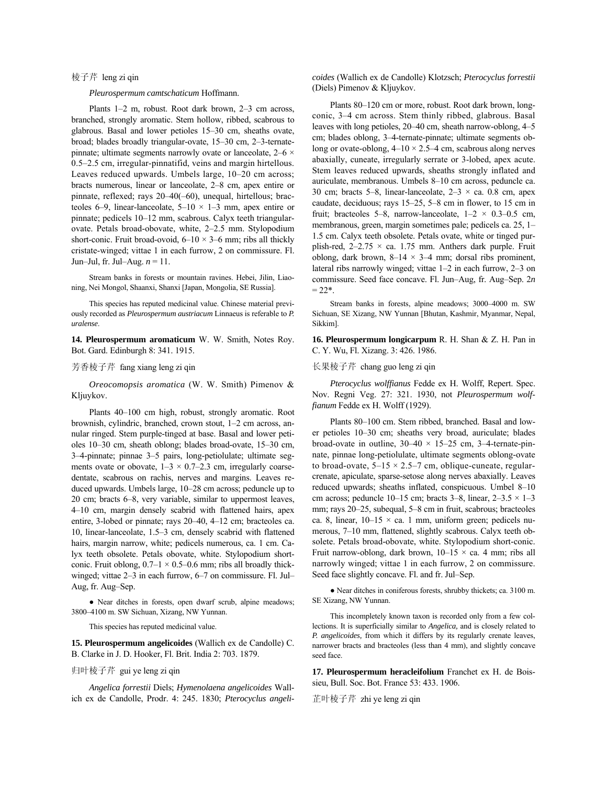## 棱子芹 leng zi qin

*Pleurospermum camtschaticum* Hoffmann.

Plants  $1-2$  m, robust. Root dark brown,  $2-3$  cm across, branched, strongly aromatic. Stem hollow, ribbed, scabrous to glabrous. Basal and lower petioles  $15-30$  cm, sheaths ovate, broad; blades broadly triangular-ovate, 15-30 cm, 2-3-ternatepinnate; ultimate segments narrowly ovate or lanceolate,  $2-6 \times$ 0.5-2.5 cm, irregular-pinnatifid, veins and margin hirtellous. Leaves reduced upwards. Umbels large, 10-20 cm across; bracts numerous, linear or lanceolate, 2–8 cm, apex entire or pinnate, reflexed; rays  $20-40(-60)$ , unequal, hirtellous; bracteoles 6–9, linear-lanceolate, 5–10  $\times$  1–3 mm, apex entire or pinnate; pedicels 10-12 mm, scabrous. Calyx teeth triangularovate. Petals broad-obovate, white, 2-2.5 mm. Stylopodium short-conic. Fruit broad-ovoid,  $6-10 \times 3-6$  mm; ribs all thickly cristate-winged; vittae 1 in each furrow, 2 on commissure. Fl. Jun–Jul, fr. Jul–Aug.  $n = 11$ .

Stream banks in forests or mountain ravines. Hebei, Jilin, Liaoning, Nei Mongol, Shaanxi, Shanxi [Japan, Mongolia, SE Russia].

This species has reputed medicinal value. Chinese material previously recorded as *Pleurospermum austriacum* Linnaeus is referable to *P. uralense*.

**14. Pleurospermum aromaticum** W. W. Smith, Notes Roy. Bot. Gard. Edinburgh 8: 341. 1915.

## 芳香棱子芹 fang xiang leng zi qin

*Oreocomopsis aromatica* (W. W. Smith) Pimenov & Kljuykov.

Plants 40-100 cm high, robust, strongly aromatic. Root brownish, cylindric, branched, crown stout,  $1-2$  cm across, annular ringed. Stem purple-tinged at base. Basal and lower petioles  $10-30$  cm, sheath oblong; blades broad-ovate,  $15-30$  cm, 3-4-pinnate; pinnae 3-5 pairs, long-petiolulate; ultimate segments ovate or obovate,  $1-3 \times 0.7-2.3$  cm, irregularly coarsedentate, scabrous on rachis, nerves and margins. Leaves reduced upwards. Umbels large, 10–28 cm across; peduncle up to  $20$  cm; bracts  $6-8$ , very variable, similar to uppermost leaves, 4–10 cm, margin densely scabrid with flattened hairs, apex entire, 3-lobed or pinnate; rays 20–40, 4–12 cm; bracteoles ca. 10, linear-lanceolate,  $1.5-3$  cm, densely scabrid with flattened hairs, margin narrow, white; pedicels numerous, ca. 1 cm. Calyx teeth obsolete. Petals obovate, white. Stylopodium shortconic. Fruit oblong,  $0.7-1 \times 0.5-0.6$  mm; ribs all broadly thickwinged; vittae  $2-3$  in each furrow,  $6-7$  on commissure. Fl. Jul– Aug, fr. Aug-Sep.

• Near ditches in forests, open dwarf scrub, alpine meadows; 3800-4100 m. SW Sichuan, Xizang, NW Yunnan.

This species has reputed medicinal value.

**15. Pleurospermum angelicoides** (Wallich ex de Candolle) C. B. Clarke in J. D. Hooker, Fl. Brit. India 2: 703. 1879.

## 归叶棱子芹 gui ye leng zi qin

*Angelica forrestii* Diels; *Hymenolaena angelicoides* Wallich ex de Candolle, Prodr. 4: 245. 1830; *Pterocyclus angeli*- *coides* (Wallich ex de Candolle) Klotzsch; *Pterocyclus forrestii* (Diels) Pimenov & Kljuykov.

Plants 80-120 cm or more, robust. Root dark brown, longconic, 3–4 cm across. Stem thinly ribbed, glabrous. Basal leaves with long petioles,  $20-40$  cm, sheath narrow-oblong,  $4-5$ cm; blades oblong, 3-4-ternate-pinnate; ultimate segments oblong or ovate-oblong,  $4-10 \times 2.5-4$  cm, scabrous along nerves abaxially, cuneate, irregularly serrate or 3-lobed, apex acute. Stem leaves reduced upwards, sheaths strongly inflated and auriculate, membranous. Umbels 8-10 cm across, peduncle ca. 30 cm; bracts 5–8, linear-lanceolate,  $2-3 \times ca$ . 0.8 cm, apex caudate, deciduous; rays 15–25, 5–8 cm in flower, to 15 cm in fruit; bracteoles 5–8, narrow-lanceolate,  $1-2 \times 0.3-0.5$  cm, membranous, green, margin sometimes pale; pedicels ca. 25, 1– 1.5 cm. Calyx teeth obsolete. Petals ovate, white or tinged purplish-red,  $2-2.75 \times$  ca. 1.75 mm. Anthers dark purple. Fruit oblong, dark brown,  $8-14 \times 3-4$  mm; dorsal ribs prominent, lateral ribs narrowly winged; vittae  $1-2$  in each furrow,  $2-3$  on commissure. Seed face concave. Fl. Jun-Aug, fr. Aug-Sep. 2n  $= 22*$ 

Stream banks in forests, alpine meadows; 3000-4000 m. SW Sichuan, SE Xizang, NW Yunnan [Bhutan, Kashmir, Myanmar, Nepal, Sikkim].

**16. Pleurospermum longicarpum** R. H. Shan & Z. H. Pan in C. Y. Wu, Fl. Xizang. 3: 426. 1986.

# 长果棱子芹 chang guo leng zi qin

*Pterocyclus wolffianus* Fedde ex H. Wolff, Repert. Spec. Nov. Regni Veg. 27: 321. 1930, not *Pleurospermum wolffianum* Fedde ex H. Wolff (1929).

Plants 80-100 cm. Stem ribbed, branched. Basal and lower petioles 10-30 cm; sheaths very broad, auriculate; blades broad-ovate in outline,  $30-40 \times 15-25$  cm, 3-4-ternate-pinnate, pinnae long-petiolulate, ultimate segments oblong-ovate to broad-ovate,  $5-15 \times 2.5-7$  cm, oblique-cuneate, regularcrenate, apiculate, sparse-setose along nerves abaxially. Leaves reduced upwards; sheaths inflated, conspicuous. Umbel 8-10 cm across; peduncle 10–15 cm; bracts 3–8, linear,  $2-3.5 \times 1-3$ mm; rays 20–25, subequal, 5–8 cm in fruit, scabrous; bracteoles ca. 8, linear,  $10-15 \times$  ca. 1 mm, uniform green; pedicels numerous, 7–10 mm, flattened, slightly scabrous. Calyx teeth obsolete. Petals broad-obovate, white. Stylopodium short-conic. Fruit narrow-oblong, dark brown,  $10-15 \times$  ca. 4 mm; ribs all narrowly winged; vittae 1 in each furrow, 2 on commissure. Seed face slightly concave. Fl. and fr. Jul–Sep.

● Near ditches in coniferous forests, shrubby thickets; ca. 3100 m. SE Xizang, NW Yunnan.

This incompletely known taxon is recorded only from a few collections. It is superficially similar to *Angelica,* and is closely related to *P. angelicoides,* from which it differs by its regularly crenate leaves, narrower bracts and bracteoles (less than 4 mm), and slightly concave seed face.

**17. Pleurospermum heracleifolium** Franchet ex H. de Boissieu, Bull. Soc. Bot. France 53: 433. 1906.

芷叶棱子芹 zhi ye leng zi qin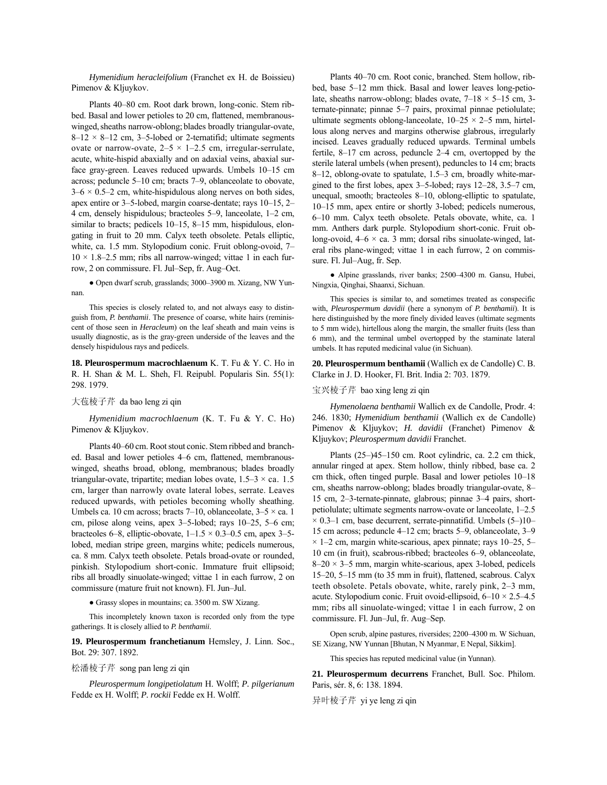*Hymenidium heracleifolium* (Franchet ex H. de Boissieu) Pimenov & Kljuykov.

Plants 40-80 cm. Root dark brown, long-conic. Stem ribbed. Basal and lower petioles to 20 cm, flattened, membranouswinged, sheaths narrow-oblong; blades broadly triangular-ovate,  $8-12 \times 8-12$  cm, 3-5-lobed or 2-ternatifid; ultimate segments ovate or narrow-ovate,  $2-5 \times 1-2.5$  cm, irregular-serrulate, acute, white-hispid abaxially and on adaxial veins, abaxial surface gray-green. Leaves reduced upwards. Umbels 10-15 cm across; peduncle  $5-10$  cm; bracts  $7-9$ , oblanceolate to obovate,  $3-6 \times 0.5-2$  cm, white-hispidulous along nerves on both sides, apex entire or 3-5-lobed, margin coarse-dentate; rays 10-15, 2-4 cm, densely hispidulous; bracteoles  $5-9$ , lanceolate,  $1-2$  cm, similar to bracts; pedicels  $10-15$ ,  $8-15$  mm, hispidulous, elongating in fruit to 20 mm. Calyx teeth obsolete. Petals elliptic, white, ca. 1.5 mm. Stylopodium conic. Fruit oblong-ovoid, 7- $10 \times 1.8 - 2.5$  mm; ribs all narrow-winged; vittae 1 in each furrow, 2 on commissure. Fl. Jul–Sep, fr. Aug–Oct.

 $\bullet$  Open dwarf scrub, grasslands; 3000–3900 m. Xizang, NW Yunnan.

This species is closely related to, and not always easy to distinguish from, *P. benthamii*. The presence of coarse, white hairs (reminiscent of those seen in *Heracleum*) on the leaf sheath and main veins is usually diagnostic, as is the gray-green underside of the leaves and the densely hispidulous rays and pedicels.

**18. Pleurospermum macrochlaenum** K. T. Fu & Y. C. Ho in R. H. Shan & M. L. Sheh, Fl. Reipubl. Popularis Sin. 55(1): 298. 1979.

### 大苞棱子芹 da bao leng zi qin

*Hymenidium macrochlaenum* (K. T. Fu & Y. C. Ho) Pimenov & Kljuykov.

Plants 40–60 cm. Root stout conic. Stem ribbed and branched. Basal and lower petioles 4–6 cm, flattened, membranouswinged, sheaths broad, oblong, membranous; blades broadly triangular-ovate, tripartite; median lobes ovate,  $1.5-3 \times$  ca. 1.5 cm, larger than narrowly ovate lateral lobes, serrate. Leaves reduced upwards, with petioles becoming wholly sheathing. Umbels ca. 10 cm across; bracts 7–10, oblanceolate,  $3-5 \times$  ca. 1 cm, pilose along veins, apex  $3-5$ -lobed; rays  $10-25$ ,  $5-6$  cm; bracteoles 6–8, elliptic-obovate,  $1-1.5 \times 0.3-0.5$  cm, apex 3–5lobed, median stripe green, margins white; pedicels numerous, ca. 8 mm. Calyx teeth obsolete. Petals broad-ovate or rounded, pinkish. Stylopodium short-conic. Immature fruit ellipsoid; ribs all broadly sinuolate-winged; vittae 1 in each furrow, 2 on commissure (mature fruit not known). Fl. Jun-Jul.

● Grassy slopes in mountains; ca. 3500 m. SW Xizang.

This incompletely known taxon is recorded only from the type gatherings. It is closely allied to *P. benthamii*.

**19. Pleurospermum franchetianum** Hemsley, J. Linn. Soc., Bot. 29: 307. 1892.

#### 松潘棱子芹 song pan leng zi qin

*Pleurospermum longipetiolatum* H. Wolff; *P. pilgerianum* Fedde ex H. Wolff; *P. rockii* Fedde ex H. Wolff.

Plants 40–70 cm. Root conic, branched. Stem hollow, ribbed, base 5–12 mm thick. Basal and lower leaves long-petiolate, sheaths narrow-oblong; blades ovate,  $7-18 \times 5-15$  cm, 3ternate-pinnate; pinnae 5-7 pairs, proximal pinnae petiolulate; ultimate segments oblong-lanceolate,  $10-25 \times 2-5$  mm, hirtellous along nerves and margins otherwise glabrous, irregularly incised. Leaves gradually reduced upwards. Terminal umbels fertile,  $8-17$  cm across, peduncle 2-4 cm, overtopped by the sterile lateral umbels (when present), peduncles to 14 cm; bracts 8–12, oblong-ovate to spatulate, 1.5–3 cm, broadly white-margined to the first lobes, apex  $3-5$ -lobed; rays  $12-28$ ,  $3.5-7$  cm, unequal, smooth; bracteoles 8-10, oblong-elliptic to spatulate, 10–15 mm, apex entire or shortly 3-lobed; pedicels numerous, 6-10 mm. Calyx teeth obsolete. Petals obovate, white, ca. 1 mm. Anthers dark purple. Stylopodium short-conic. Fruit oblong-ovoid,  $4-6 \times ca$ . 3 mm; dorsal ribs sinuolate-winged, lateral ribs plane-winged; vittae 1 in each furrow, 2 on commissure. Fl. Jul–Aug, fr. Sep.

• Alpine grasslands, river banks; 2500-4300 m. Gansu, Hubei, Ningxia, Qinghai, Shaanxi, Sichuan.

This species is similar to, and sometimes treated as conspecific with, *Pleurospermum davidii* (here a synonym of *P. benthamii*). It is here distinguished by the more finely divided leaves (ultimate segments to 5 mm wide), hirtellous along the margin, the smaller fruits (less than 6 mm), and the terminal umbel overtopped by the staminate lateral umbels. It has reputed medicinal value (in Sichuan).

**20. Pleurospermum benthamii** (Wallich ex de Candolle) C. B. Clarke in J. D. Hooker, Fl. Brit. India 2: 703. 1879.

#### 宝兴棱子芹 bao xing leng zi qin

*Hymenolaena benthamii* Wallich ex de Candolle, Prodr. 4: 246. 1830; *Hymenidium benthamii* (Wallich ex de Candolle) Pimenov & Kljuykov; *H. davidii* (Franchet) Pimenov & Kljuykov; *Pleurospermum davidii* Franchet.

Plants  $(25–)45–150$  cm. Root cylindric, ca. 2.2 cm thick, annular ringed at apex. Stem hollow, thinly ribbed, base ca. 2 cm thick, often tinged purple. Basal and lower petioles  $10-18$ cm, sheaths narrow-oblong; blades broadly triangular-ovate, 8-15 cm, 2-3-ternate-pinnate, glabrous; pinnae 3-4 pairs, shortpetiolulate; ultimate segments narrow-ovate or lanceolate,  $1-2.5$  $\times$  0.3–1 cm, base decurrent, serrate-pinnatifid. Umbels (5–)10– 15 cm across; peduncle  $4-12$  cm; bracts  $5-9$ , oblanceolate,  $3-9$  $\times$  1–2 cm, margin white-scarious, apex pinnate; rays 10–25, 5– 10 cm (in fruit), scabrous-ribbed; bracteoles 6-9, oblanceolate,  $8-20 \times 3-5$  mm, margin white-scarious, apex 3-lobed, pedicels 15-20, 5-15 mm (to 35 mm in fruit), flattened, scabrous. Calyx teeth obsolete. Petals obovate, white, rarely pink, 2–3 mm, acute. Stylopodium conic. Fruit ovoid-ellipsoid,  $6-10 \times 2.5-4.5$ mm; ribs all sinuolate-winged; vittae 1 in each furrow, 2 on commissure. Fl. Jun-Jul, fr. Aug-Sep.

Open scrub, alpine pastures, riversides; 2200-4300 m. W Sichuan, SE Xizang, NW Yunnan [Bhutan, N Myanmar, E Nepal, Sikkim].

This species has reputed medicinal value (in Yunnan).

**21. Pleurospermum decurrens** Franchet, Bull. Soc. Philom. Paris, sér. 8, 6: 138. 1894.

异叶棱子芹 yi ye leng zi qin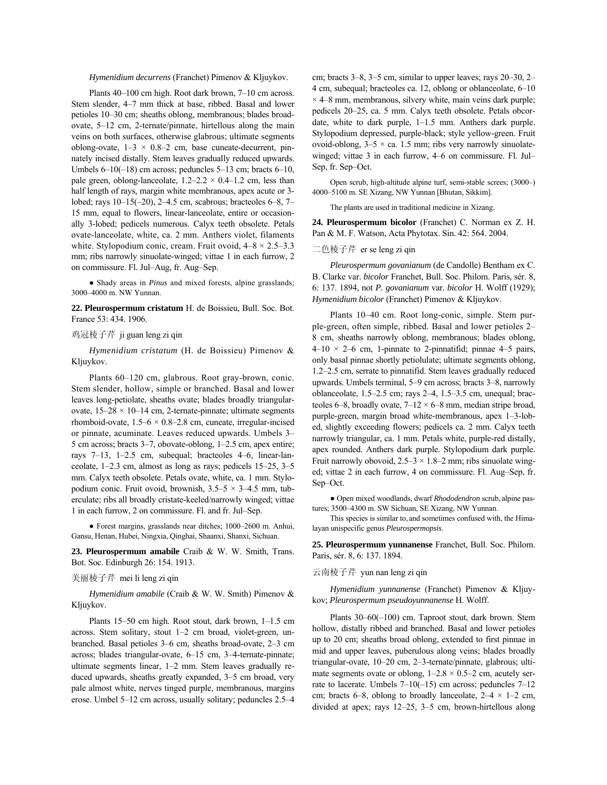*Hymenidium decurrens* (Franchet) Pimenov & Kljuykov.

Plants 40-100 cm high. Root dark brown, 7-10 cm across. Stem slender, 4-7 mm thick at base, ribbed. Basal and lower petioles 10-30 cm; sheaths oblong, membranous; blades broadovate,  $5-12$  cm, 2-ternate/pinnate, hirtellous along the main veins on both surfaces, otherwise glabrous; ultimate segments oblong-ovate,  $1-3 \times 0.8-2$  cm, base cuneate-decurrent, pinnately incised distally. Stem leaves gradually reduced upwards. Umbels  $6-10(-18)$  cm across; peduncles 5-13 cm; bracts  $6-10$ , pale green, oblong-lanceolate,  $1.2-2.2 \times 0.4-1.2$  cm, less than half length of rays, margin white membranous, apex acute or 3lobed; rays  $10-15(-20)$ , 2-4.5 cm, scabrous; bracteoles 6-8, 7-15 mm, equal to flowers, linear-lanceolate, entire or occasionally 3-lobed; pedicels numerous. Calyx teeth obsolete. Petals ovate-lanceolate, white, ca. 2 mm. Anthers violet, filaments white. Stylopodium conic, cream. Fruit ovoid,  $4-8 \times 2.5-3.3$ mm; ribs narrowly sinuolate-winged; vittae 1 in each furrow, 2 on commissure. Fl. Jul-Aug, fr. Aug-Sep.

● Shady areas in *Pinus* and mixed forests, alpine grasslands; 3000-4000 m. NW Yunnan.

**22. Pleurospermum cristatum** H. de Boissieu, Bull. Soc. Bot. France 53: 434. 1906.

### 鸡冠棱子芹 ji guan leng zi qin

*Hymenidium cristatum* (H. de Boissieu) Pimenov & Kljuykov.

Plants 60-120 cm, glabrous. Root gray-brown, conic. Stem slender, hollow, simple or branched. Basal and lower leaves long-petiolate, sheaths ovate; blades broadly triangularovate,  $15-28 \times 10-14$  cm, 2-ternate-pinnate; ultimate segments rhomboid-ovate,  $1.5-6 \times 0.8-2.8$  cm, cuneate, irregular-incised or pinnate, acuminate. Leaves reduced upwards. Umbels 3– 5 cm across; bracts  $3-7$ , obovate-oblong,  $1-2.5$  cm, apex entire; rays  $7-13$ , 1 $-2.5$  cm, subequal; bracteoles 4 $-6$ , linear-lanceolate,  $1-2.3$  cm, almost as long as rays; pedicels  $15-25$ ,  $3-5$ mm. Calyx teeth obsolete. Petals ovate, white, ca. 1 mm. Stylopodium conic. Fruit ovoid, brownish,  $3.5-5 \times 3-4.5$  mm, tuberculate; ribs all broadly cristate-keeled/narrowly winged; vittae 1 in each furrow, 2 on commissure. Fl. and fr. Jul–Sep.

 $\bullet$  Forest margins, grasslands near ditches; 1000–2600 m. Anhui, Gansu, Henan, Hubei, Ningxia, Qinghai, Shaanxi, Shanxi, Sichuan.

**23. Pleurospermum amabile** Craib & W. W. Smith, Trans. Bot. Soc. Edinburgh 26: 154. 1913.

## 美丽棱子芹 mei li leng zi qin

*Hymenidium amabile* (Craib & W. W. Smith) Pimenov & Kljuykov.

Plants 15 $-50$  cm high. Root stout, dark brown,  $1-1.5$  cm across. Stem solitary, stout 1-2 cm broad, violet-green, unbranched. Basal petioles 3–6 cm, sheaths broad-ovate, 2–3 cm across; blades triangular-ovate, 6-15 cm, 3-4-ternate-pinnate; ultimate segments linear,  $1-2$  mm. Stem leaves gradually reduced upwards, sheaths greatly expanded,  $3-5$  cm broad, very pale almost white, nerves tinged purple, membranous, margins erose. Umbel  $5-12$  cm across, usually solitary; peduncles  $2.5-4$  cm; bracts  $3-8$ ,  $3-5$  cm, similar to upper leaves; rays  $20-30$ ,  $2-$ 4 cm, subequal; bracteoles ca. 12, oblong or oblanceolate,  $6-10$  $\times$  4–8 mm, membranous, silvery white, main veins dark purple; pedicels 20–25, ca. 5 mm. Calyx teeth obsolete. Petals obcordate, white to dark purple,  $1-1.5$  mm. Anthers dark purple. Stylopodium depressed, purple-black; style yellow-green. Fruit ovoid-oblong,  $3-5 \times$  ca. 1.5 mm; ribs very narrowly sinuolatewinged; vittae 3 in each furrow, 4–6 on commissure. Fl. Jul– Sep, fr. Sep-Oct.

Open scrub, high-altitude alpine turf, semi-stable screes; (3000–) 4000-5100 m. SE Xizang, NW Yunnan [Bhutan, Sikkim].

The plants are used in traditional medicine in Xizang.

**24. Pleurospermum bicolor** (Franchet) C. Norman ex Z. H. Pan & M. F. Watson, Acta Phytotax. Sin. 42: 564. 2004.

## 二色棱子芹 er se leng zi qin

*Pleurospermum govanianum* (de Candolle) Bentham ex C. B. Clarke var. *bicolor* Franchet, Bull. Soc. Philom. Paris, sér. 8, 6: 137. 1894, not *P. govanianum* var. *bicolor* H. Wolff (1929); *Hymenidium bicolor* (Franchet) Pimenov & Kljuykov.

Plants 10-40 cm. Root long-conic, simple. Stem purple-green, often simple, ribbed. Basal and lower petioles 2– 8 cm, sheaths narrowly oblong, membranous; blades oblong,  $4-10 \times 2-6$  cm, 1-pinnate to 2-pinnatifid; pinnae 4–5 pairs, only basal pinnae shortly petiolulate; ultimate segments oblong, 1.2–2.5 cm, serrate to pinnatifid. Stem leaves gradually reduced upwards. Umbels terminal, 5–9 cm across; bracts 3–8, narrowly oblanceolate,  $1.5-2.5$  cm; rays  $2-4$ ,  $1.5-3.5$  cm, unequal; bracteoles 6–8, broadly ovate,  $7-12 \times 6-8$  mm, median stripe broad, purple-green, margin broad white-membranous, apex 1-3-lobed, slightly exceeding flowers; pedicels ca. 2 mm. Calyx teeth narrowly triangular, ca. 1 mm. Petals white, purple-red distally, apex rounded. Anthers dark purple. Stylopodium dark purple. Fruit narrowly obovoid,  $2.5-3 \times 1.8-2$  mm; ribs sinuolate winged; vittae 2 in each furrow, 4 on commissure. Fl. Aug–Sep, fr. Sep-Oct.

● Open mixed woodlands, dwarf *Rhododendron* scrub, alpine pastures; 3500-4300 m. SW Sichuan, SE Xizang, NW Yunnan.

This species is similar to, and sometimes confused with, the Himalayan unispecific genus *Pleurospermopsis*.

**25. Pleurospermum yunnanense** Franchet, Bull. Soc. Philom. Paris, sér. 8, 6: 137. 1894.

## 云南棱子芹 yun nan leng zi qin

*Hymenidium yunnanense* (Franchet) Pimenov & Kljuykov; *Pleurospermum pseudoyunnanense* H. Wolff.

Plants  $30-60(-100)$  cm. Taproot stout, dark brown. Stem hollow, distally ribbed and branched. Basal and lower petioles up to 20 cm; sheaths broad oblong, extended to first pinnae in mid and upper leaves, puberulous along veins; blades broadly triangular-ovate, 10-20 cm, 2-3-ternate/pinnate, glabrous; ultimate segments ovate or oblong,  $1-2.8 \times 0.5-2$  cm, acutely serrate to lacerate. Umbels  $7-10(-15)$  cm across; peduncles  $7-12$ cm; bracts 6–8, oblong to broadly lanceolate,  $2-4 \times 1-2$  cm, divided at apex; rays  $12-25$ ,  $3-5$  cm, brown-hirtellous along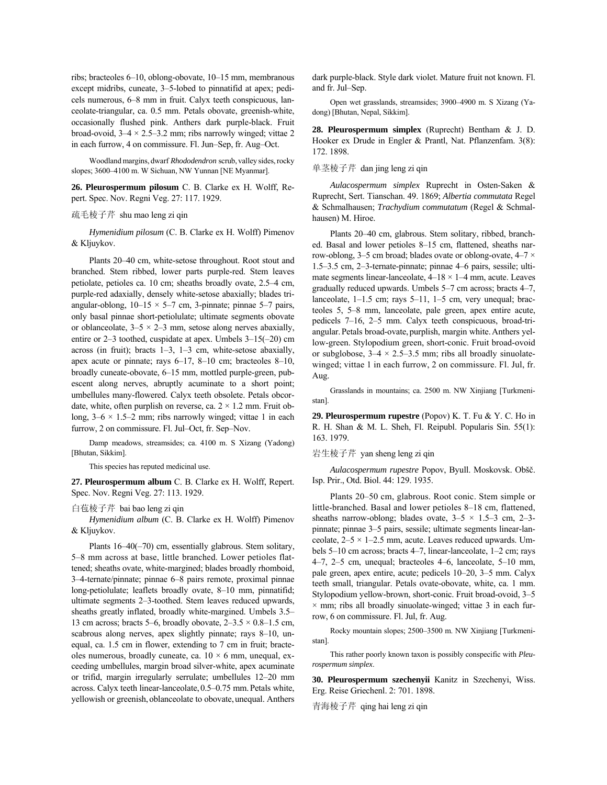ribs; bracteoles 6-10, oblong-obovate, 10-15 mm, membranous except midribs, cuneate, 3–5-lobed to pinnatifid at apex; pedicels numerous, 6–8 mm in fruit. Calyx teeth conspicuous, lanceolate-triangular, ca. 0.5 mm. Petals obovate, greenish-white, occasionally flushed pink. Anthers dark purple-black. Fruit broad-ovoid,  $3-4 \times 2.5-3.2$  mm; ribs narrowly winged; vittae 2 in each furrow,  $4$  on commissure. Fl. Jun–Sep, fr. Aug–Oct.

Woodland margins, dwarf *Rhododendron* scrub, valley sides,rocky slopes; 3600–4100 m. W Sichuan, NW Yunnan [NE Myanmar].

**26. Pleurospermum pilosum** C. B. Clarke ex H. Wolff, Repert. Spec. Nov. Regni Veg. 27: 117. 1929.

### 疏毛棱子芹 shu mao leng zi qin

*Hymenidium pilosum* (C. B. Clarke ex H. Wolff) Pimenov & Kljuykov.

Plants 20-40 cm, white-setose throughout. Root stout and branched. Stem ribbed, lower parts purple-red. Stem leaves petiolate, petioles ca. 10 cm; sheaths broadly ovate,  $2.5-4$  cm, purple-red adaxially, densely white-setose abaxially; blades triangular-oblong,  $10-15 \times 5-7$  cm, 3-pinnate; pinnae 5-7 pairs, only basal pinnae short-petiolulate; ultimate segments obovate or oblanceolate,  $3-5 \times 2-3$  mm, setose along nerves abaxially, entire or  $2-3$  toothed, cuspidate at apex. Umbels  $3-15(-20)$  cm across (in fruit); bracts  $1-3$ ,  $1-3$  cm, white-setose abaxially, apex acute or pinnate; rays  $6-17$ ,  $8-10$  cm; bracteoles  $8-10$ , broadly cuneate-obovate, 6–15 mm, mottled purple-green, pubescent along nerves, abruptly acuminate to a short point; umbellules many-flowered. Calyx teeth obsolete. Petals obcordate, white, often purplish on reverse, ca.  $2 \times 1.2$  mm. Fruit oblong,  $3-6 \times 1.5-2$  mm; ribs narrowly winged; vittae 1 in each furrow, 2 on commissure. Fl. Jul–Oct, fr. Sep–Nov.

Damp meadows, streamsides; ca. 4100 m. S Xizang (Yadong) [Bhutan, Sikkim].

This species has reputed medicinal use.

**27. Pleurospermum album** C. B. Clarke ex H. Wolff, Repert. Spec. Nov. Regni Veg. 27: 113. 1929.

#### 白苞棱子芹 bai bao leng zi qin

*Hymenidium album* (C. B. Clarke ex H. Wolff) Pimenov & Kljuykov.

Plants  $16-40(-70)$  cm, essentially glabrous. Stem solitary, 5-8 mm across at base, little branched. Lower petioles flattened; sheaths ovate, white-margined; blades broadly rhomboid, 3-4-ternate/pinnate; pinnae 6-8 pairs remote, proximal pinnae long-petiolulate; leaflets broadly ovate, 8-10 mm, pinnatifid; ultimate segments 2-3-toothed. Stem leaves reduced upwards, sheaths greatly inflated, broadly white-margined. Umbels 3.5– 13 cm across; bracts 5–6, broadly obovate,  $2-3.5 \times 0.8-1.5$  cm, scabrous along nerves, apex slightly pinnate; rays 8–10, unequal, ca. 1.5 cm in flower, extending to 7 cm in fruit; bracteoles numerous, broadly cuneate, ca.  $10 \times 6$  mm, unequal, exceeding umbellules, margin broad silver-white, apex acuminate or trifid, margin irregularly serrulate; umbellules 12–20 mm across. Calyx teeth linear-lanceolate, 0.5–0.75 mm. Petals white, yellowish or greenish, oblanceolate to obovate, unequal. Anthers dark purple-black. Style dark violet. Mature fruit not known. Fl. and fr. Jul-Sep.

Open wet grasslands, streamsides; 3900–4900 m. S Xizang (Yadong) [Bhutan, Nepal, Sikkim].

**28. Pleurospermum simplex** (Ruprecht) Bentham & J. D. Hooker ex Drude in Engler & Prantl, Nat. Pflanzenfam. 3(8): 172. 1898.

## 单茎棱子芹 dan jing leng zi qin

*Aulacospermum simplex* Ruprecht in Osten-Saken & Ruprecht, Sert. Tianschan. 49. 1869; *Albertia commutata* Regel & Schmalhausen; *Trachydium commutatum* (Regel & Schmalhausen) M. Hiroe.

Plants 20-40 cm, glabrous. Stem solitary, ribbed, branched. Basal and lower petioles 8-15 cm, flattened, sheaths narrow-oblong, 3–5 cm broad; blades ovate or oblong-ovate,  $4-7 \times$ 1.5–3.5 cm, 2–3-ternate-pinnate; pinnae 4–6 pairs, sessile; ultimate segments linear-lanceolate,  $4-18 \times 1-4$  mm, acute. Leaves gradually reduced upwards. Umbels  $5-7$  cm across; bracts  $4-7$ , lanceolate,  $1-1.5$  cm; rays  $5-11$ ,  $1-5$  cm, very unequal; bracteoles 5, 5-8 mm, lanceolate, pale green, apex entire acute, pedicels 7-16, 2-5 mm. Calyx teeth conspicuous, broad-triangular.Petals broad-ovate, purplish, margin white.Anthers yellow-green. Stylopodium green, short-conic. Fruit broad-ovoid or subglobose,  $3-4 \times 2.5-3.5$  mm; ribs all broadly sinuolatewinged; vittae 1 in each furrow, 2 on commissure. Fl. Jul, fr. Aug.

Grasslands in mountains; ca. 2500 m. NW Xinjiang [Turkmenistan].

**29. Pleurospermum rupestre** (Popov) K. T. Fu & Y. C. Ho in R. H. Shan & M. L. Sheh, Fl. Reipubl. Popularis Sin. 55(1): 163. 1979.

岩生棱子芹 yan sheng leng zi qin

*Aulacospermum rupestre* Popov, Byull. Moskovsk. Oböč. Isp. Prir., Otd. Biol. 44: 129. 1935.

Plants 20–50 cm, glabrous. Root conic. Stem simple or little-branched. Basal and lower petioles 8-18 cm, flattened, sheaths narrow-oblong; blades ovate,  $3-5 \times 1.5-3$  cm, 2-3pinnate; pinnae 3-5 pairs, sessile; ultimate segments linear-lanceolate,  $2-5 \times 1-2.5$  mm, acute. Leaves reduced upwards. Umbels  $5-10$  cm across; bracts  $4-7$ , linear-lanceolate,  $1-2$  cm; rays 4–7, 2–5 cm, unequal; bracteoles 4–6, lanceolate,  $5-10$  mm, pale green, apex entire, acute; pedicels 10–20, 3–5 mm. Calyx teeth small, triangular. Petals ovate-obovate, white, ca. 1 mm. Stylopodium yellow-brown, short-conic. Fruit broad-ovoid, 3–5  $\times$  mm; ribs all broadly sinuolate-winged; vittae 3 in each furrow, 6 on commissure. Fl. Jul, fr. Aug.

Rocky mountain slopes; 2500–3500 m. NW Xinjiang [Turkmenistan].

This rather poorly known taxon is possibly conspecific with *Pleurospermum simplex*.

**30. Pleurospermum szechenyii** Kanitz in Szechenyi, Wiss. Erg. Reise Griechenl. 2: 701. 1898.

青海棱子芹 qing hai leng zi qin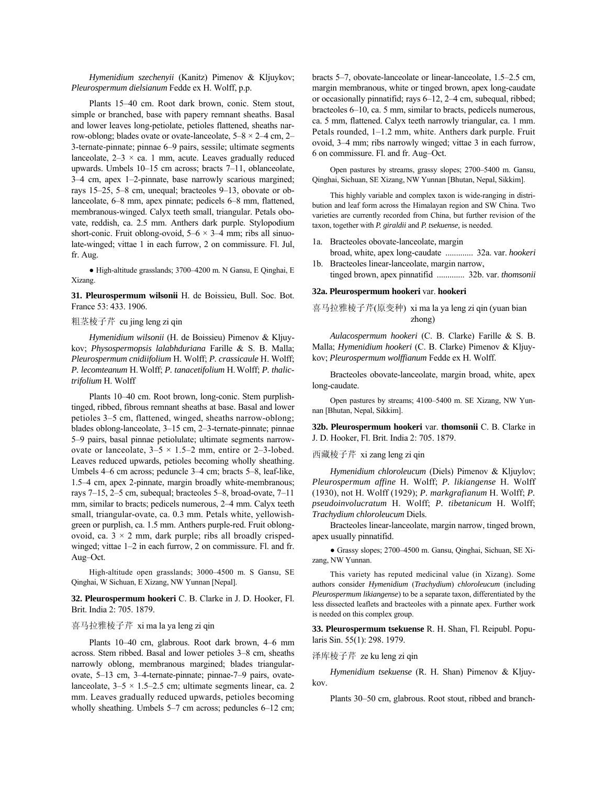*Hymenidium szechenyii* (Kanitz) Pimenov & Kljuykov; *Pleurospermum dielsianum* Fedde ex H. Wolff, p.p.

Plants 15-40 cm. Root dark brown, conic. Stem stout, simple or branched, base with papery remnant sheaths. Basal and lower leaves long-petiolate, petioles flattened, sheaths narrow-oblong; blades ovate or ovate-lanceolate,  $5-8 \times 2-4$  cm, 2-3-ternate-pinnate; pinnae 6-9 pairs, sessile; ultimate segments lanceolate,  $2-3 \times ca$ . 1 mm, acute. Leaves gradually reduced upwards. Umbels 10-15 cm across; bracts 7-11, oblanceolate, 3–4 cm, apex 1–2-pinnate, base narrowly scarious margined; rays 15–25, 5–8 cm, unequal; bracteoles 9–13, obovate or oblanceolate, 6–8 mm, apex pinnate; pedicels 6–8 mm, flattened, membranous-winged. Calyx teeth small, triangular. Petals obovate, reddish, ca. 2.5 mm. Anthers dark purple. Stylopodium short-conic. Fruit oblong-ovoid,  $5-6 \times 3-4$  mm; ribs all sinuolate-winged; vittae 1 in each furrow, 2 on commissure. Fl. Jul, fr. Aug.

 $\bullet$  High-altitude grasslands; 3700–4200 m. N Gansu, E Qinghai, E Xizang.

**31. Pleurospermum wilsonii** H. de Boissieu, Bull. Soc. Bot. France 53: 433. 1906.

## 粗茎棱子芹 cu jing leng zi qin

*Hymenidium wilsonii* (H. de Boissieu) Pimenov & Kljuykov; *Physospermopsis lalabhduriana* Farille & S. B. Malla; *Pleurospermum cnidiifolium* H. Wolff; *P. crassicaule* H. Wolff; *P. lecomteanum* H.Wolff; *P. tanacetifolium* H.Wolff; *P. thalictrifolium* H. Wolff

Plants 10-40 cm. Root brown, long-conic. Stem purplishtinged, ribbed, fibrous remnant sheaths at base. Basal and lower petioles 3–5 cm, flattened, winged, sheaths narrow-oblong; blades oblong-lanceolate, 3–15 cm, 2–3-ternate-pinnate; pinnae 5–9 pairs, basal pinnae petiolulate; ultimate segments narrowovate or lanceolate,  $3-5 \times 1.5-2$  mm, entire or 2-3-lobed. Leaves reduced upwards, petioles becoming wholly sheathing. Umbels 4–6 cm across; peduncle 3–4 cm; bracts 5–8, leaf-like, 1.5<sup>-4</sup> cm, apex 2-pinnate, margin broadly white-membranous; rays 7–15, 2–5 cm, subequal; bracteoles 5–8, broad-ovate, 7–11 mm, similar to bracts; pedicels numerous, 2–4 mm. Calyx teeth small, triangular-ovate, ca. 0.3 mm. Petals white, yellowishgreen or purplish, ca. 1.5 mm. Anthers purple-red. Fruit oblongovoid, ca.  $3 \times 2$  mm, dark purple; ribs all broadly crispedwinged; vittae  $1-2$  in each furrow, 2 on commissure. Fl. and fr. Aug-Oct.

High-altitude open grasslands; 3000-4500 m. S Gansu, SE Qinghai, W Sichuan, E Xizang, NW Yunnan [Nepal].

**32. Pleurospermum hookeri** C. B. Clarke in J. D. Hooker, Fl. Brit. India 2: 705. 1879.

## 喜马拉雅棱子芹 xi ma la ya leng zi qin

Plants 10-40 cm, glabrous. Root dark brown, 4-6 mm across. Stem ribbed. Basal and lower petioles 3-8 cm, sheaths narrowly oblong, membranous margined; blades triangularovate, 5–13 cm, 3–4-ternate-pinnate; pinnae-7–9 pairs, ovatelanceolate,  $3-5 \times 1.5-2.5$  cm; ultimate segments linear, ca. 2 mm. Leaves gradually reduced upwards, petioles becoming wholly sheathing. Umbels  $5-7$  cm across; peduncles  $6-12$  cm; bracts  $5-7$ , obovate-lanceolate or linear-lanceolate,  $1.5-2.5$  cm, margin membranous, white or tinged brown, apex long-caudate or occasionally pinnatifid; rays  $6-12$ ,  $2-4$  cm, subequal, ribbed; bracteoles  $6-10$ , ca. 5 mm, similar to bracts, pedicels numerous, ca. 5 mm, flattened. Calyx teeth narrowly triangular, ca. 1 mm. Petals rounded,  $1-1.2$  mm, white. Anthers dark purple. Fruit ovoid, 3-4 mm; ribs narrowly winged; vittae 3 in each furrow, 6 on commissure. Fl. and fr. Aug-Oct.

Open pastures by streams, grassy slopes; 2700-5400 m. Gansu, Qinghai, Sichuan, SE Xizang, NW Yunnan [Bhutan, Nepal, Sikkim].

This highly variable and complex taxon is wide-ranging in distribution and leaf form across the Himalayan region and SW China. Two varieties are currently recorded from China, but further revision of the taxon, together with *P. giraldii* and *P. tsekuense,* is needed.

- 1a. Bracteoles obovate-lanceolate, margin
- broad, white, apex long-caudate ............. 32a. var. *hookeri* 1b. Bracteoles linear-lanceolate, margin narrow,
- tinged brown, apex pinnatifid ............. 32b. var. *thomsonii*

### **32a. Pleurospermum hookeri** var. **hookeri**

喜马拉雅棱子芹(原变种) xi ma la ya leng zi qin (yuan bian zhong)

*Aulacospermum hookeri* (C. B. Clarke) Farille & S. B. Malla; *Hymenidium hookeri* (C. B. Clarke) Pimenov & Kljuykov; *Pleurospermum wolffianum* Fedde ex H. Wolff.

Bracteoles obovate-lanceolate, margin broad, white, apex long-caudate.

Open pastures by streams; 4100-5400 m. SE Xizang, NW Yunnan [Bhutan, Nepal, Sikkim].

**32b. Pleurospermum hookeri** var. **thomsonii** C. B. Clarke in J. D. Hooker, Fl. Brit. India 2: 705. 1879.

西藏棱子芹 xi zang leng zi qin

*Hymenidium chloroleucum* (Diels) Pimenov & Kljuylov; *Pleurospermum affine* H. Wolff; *P. likiangense* H. Wolff (1930), not H. Wolff (1929); *P. markgrafianum* H. Wolff; *P. pseudoinvolucratum* H. Wolff; *P. tibetanicum* H. Wolff; *Trachydium chloroleucum* Diels.

Bracteoles linear-lanceolate, margin narrow, tinged brown, apex usually pinnatifid.

· Grassy slopes; 2700-4500 m. Gansu, Qinghai, Sichuan, SE Xizang, NW Yunnan.

This variety has reputed medicinal value (in Xizang). Some authors consider *Hymenidium* (*Trachydium*) *chloroleucum* (including *Pleurospermum likiangense*) to be a separate taxon, differentiated by the less dissected leaflets and bracteoles with a pinnate apex. Further work is needed on this complex group.

**33. Pleurospermum tsekuense** R. H. Shan, Fl. Reipubl. Popularis Sin. 55(1): 298. 1979.

泽库棱子芹 ze ku leng zi qin

*Hymenidium tsekuense* (R. H. Shan) Pimenov & Kljuykov.

Plants 30-50 cm, glabrous. Root stout, ribbed and branch-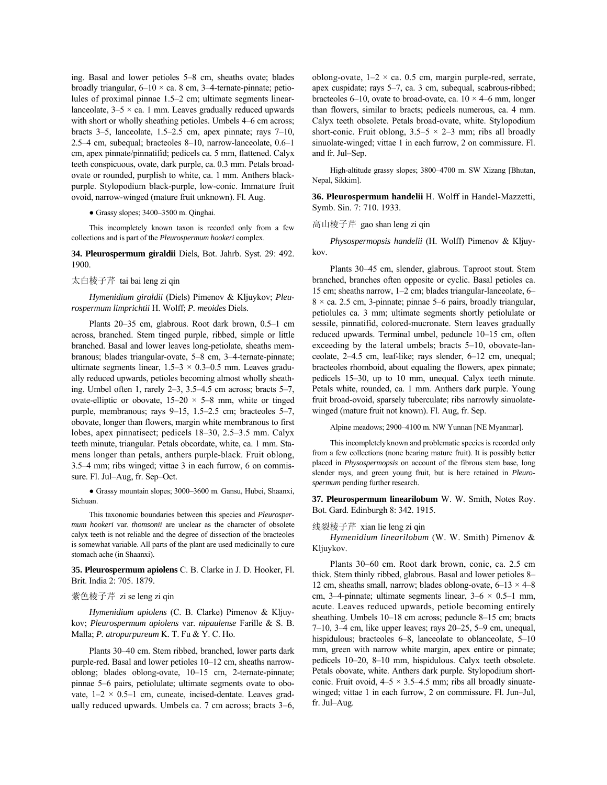ing. Basal and lower petioles 5-8 cm, sheaths ovate; blades broadly triangular,  $6-10 \times$  ca. 8 cm, 3-4-ternate-pinnate; petiolules of proximal pinnae 1.5–2 cm; ultimate segments linearlanceolate,  $3-5 \times ca$ . 1 mm. Leaves gradually reduced upwards with short or wholly sheathing petioles. Umbels 4–6 cm across; bracts  $3-5$ , lanceolate, 1.5 $-2.5$  cm, apex pinnate; rays 7 $-10$ , 2.5 $-4$  cm, subequal; bracteoles 8 $-10$ , narrow-lanceolate, 0.6 $-1$ cm, apex pinnate/pinnatifid; pedicels ca. 5 mm, flattened. Calyx teeth conspicuous, ovate, dark purple, ca. 0.3 mm. Petals broadovate or rounded, purplish to white, ca. 1 mm. Anthers blackpurple. Stylopodium black-purple, low-conic. Immature fruit ovoid, narrow-winged (mature fruit unknown). Fl. Aug.

 $\bullet$  Grassy slopes; 3400-3500 m. Qinghai.

This incompletely known taxon is recorded only from a few collections and is part of the *Pleurospermum hookeri* complex.

**34. Pleurospermum giraldii** Diels, Bot. Jahrb. Syst. 29: 492. 1900.

太白棱子芹 tai bai leng zi qin

*Hymenidium giraldii* (Diels) Pimenov & Kljuykov; *Pleurospermum limprichtii* H. Wolff; *P. meoides* Diels.

Plants  $20-35$  cm, glabrous. Root dark brown,  $0.5-1$  cm across, branched. Stem tinged purple, ribbed, simple or little branched. Basal and lower leaves long-petiolate, sheaths membranous; blades triangular-ovate, 5–8 cm, 3–4-ternate-pinnate; ultimate segments linear,  $1.5-3 \times 0.3-0.5$  mm. Leaves gradually reduced upwards, petioles becoming almost wholly sheathing. Umbel often 1, rarely  $2-3$ ,  $3.5-4.5$  cm across; bracts  $5-7$ , ovate-elliptic or obovate,  $15-20 \times 5-8$  mm, white or tinged purple, membranous; rays  $9-15$ , 1.5 $-2.5$  cm; bracteoles 5 $-7$ , obovate, longer than flowers, margin white membranous to first lobes, apex pinnatisect; pedicels  $18-30$ ,  $2.5-3.5$  mm. Calyx teeth minute, triangular. Petals obcordate, white, ca. 1 mm. Stamens longer than petals, anthers purple-black. Fruit oblong,  $3.5-4$  mm; ribs winged; vittae 3 in each furrow, 6 on commissure. Fl. Jul–Aug, fr. Sep–Oct.

· Grassy mountain slopes; 3000-3600 m. Gansu, Hubei, Shaanxi, Sichuan.

This taxonomic boundaries between this species and *Pleurospermum hookeri* var. *thomsonii* are unclear as the character of obsolete calyx teeth is not reliable and the degree of dissection of the bracteoles is somewhat variable. All parts of the plant are used medicinally to cure stomach ache (in Shaanxi).

**35. Pleurospermum apiolens** C. B. Clarke in J. D. Hooker, Fl. Brit. India 2: 705. 1879.

#### 紫色棱子芹 zi se leng zi qin

*Hymenidium apiolens* (C. B. Clarke) Pimenov & Kljuykov; *Pleurospermum apiolens* var. *nipaulense* Farille & S. B. Malla; *P. atropurpureum* K. T. Fu & Y. C. Ho.

Plants 30–40 cm. Stem ribbed, branched, lower parts dark purple-red. Basal and lower petioles 10–12 cm, sheaths narrowoblong; blades oblong-ovate,  $10-15$  cm, 2-ternate-pinnate; pinnae 5–6 pairs, petiolulate; ultimate segments ovate to obovate,  $1-2 \times 0.5-1$  cm, cuneate, incised-dentate. Leaves gradually reduced upwards. Umbels ca.  $7 \text{ cm}$  across; bracts  $3-6$ , oblong-ovate,  $1-2 \times ca$ . 0.5 cm, margin purple-red, serrate, apex cuspidate; rays 5–7, ca. 3 cm, subequal, scabrous-ribbed; bracteoles 6–10, ovate to broad-ovate, ca.  $10 \times 4$ –6 mm, longer than flowers, similar to bracts; pedicels numerous, ca. 4 mm. Calyx teeth obsolete. Petals broad-ovate, white. Stylopodium short-conic. Fruit oblong,  $3.5-5 \times 2-3$  mm; ribs all broadly sinuolate-winged; vittae 1 in each furrow, 2 on commissure. Fl. and fr. Jul-Sep.

High-altitude grassy slopes; 3800-4700 m. SW Xizang [Bhutan, Nepal, Sikkim].

**36. Pleurospermum handelii** H. Wolff in Handel-Mazzetti, Symb. Sin. 7: 710. 1933.

## 高山棱子芹 gao shan leng zi qin

*Physospermopsis handelii* (H. Wolff) Pimenov & Kljuykov.

Plants 30–45 cm, slender, glabrous. Taproot stout. Stem branched, branches often opposite or cyclic. Basal petioles ca. 15 cm; sheaths narrow,  $1-2$  cm; blades triangular-lanceolate, 6 $8 \times$  ca. 2.5 cm, 3-pinnate; pinnae 5–6 pairs, broadly triangular, petiolules ca. 3 mm; ultimate segments shortly petiolulate or sessile, pinnatifid, colored-mucronate. Stem leaves gradually reduced upwards. Terminal umbel, peduncle 10–15 cm, often exceeding by the lateral umbels; bracts  $5-10$ , obovate-lanceolate, 2-4.5 cm, leaf-like; rays slender, 6-12 cm, unequal; bracteoles rhomboid, about equaling the flowers, apex pinnate; pedicels 15–30, up to 10 mm, unequal. Calyx teeth minute. Petals white, rounded, ca. 1 mm. Anthers dark purple. Young fruit broad-ovoid, sparsely tuberculate; ribs narrowly sinuolatewinged (mature fruit not known). Fl. Aug, fr. Sep.

Alpine meadows; 2900-4100 m. NW Yunnan [NE Myanmar].

This incompletelyknown and problematic species is recorded only from a few collections (none bearing mature fruit). It is possibly better placed in *Physospermopsis* on account of the fibrous stem base, long slender rays, and green young fruit, but is here retained in *Pleurospermum* pending further research.

**37. Pleurospermum linearilobum** W. W. Smith, Notes Roy. Bot. Gard. Edinburgh 8: 342. 1915.

#### 线裂棱子芹 xian lie leng zi qin

*Hymenidium linearilobum* (W. W. Smith) Pimenov & Kljuykov.

Plants 30-60 cm. Root dark brown, conic, ca. 2.5 cm thick. Stem thinly ribbed, glabrous. Basal and lower petioles 8– 12 cm, sheaths small, narrow; blades oblong-ovate,  $6-13 \times 4-8$ cm, 3–4-pinnate; ultimate segments linear,  $3-6 \times 0.5-1$  mm, acute. Leaves reduced upwards, petiole becoming entirely sheathing. Umbels 10–18 cm across; peduncle 8–15 cm; bracts 7–10, 3–4 cm, like upper leaves; rays  $20-25$ , 5–9 cm, unequal, hispidulous; bracteoles  $6-8$ , lanceolate to oblanceolate,  $5-10$ mm, green with narrow white margin, apex entire or pinnate; pedicels 10-20, 8-10 mm, hispidulous. Calyx teeth obsolete. Petals obovate, white. Anthers dark purple. Stylopodium shortconic. Fruit ovoid,  $4-5 \times 3.5-4.5$  mm; ribs all broadly sinuatewinged; vittae 1 in each furrow, 2 on commissure. Fl. Jun-Jul, fr. Jul-Aug.